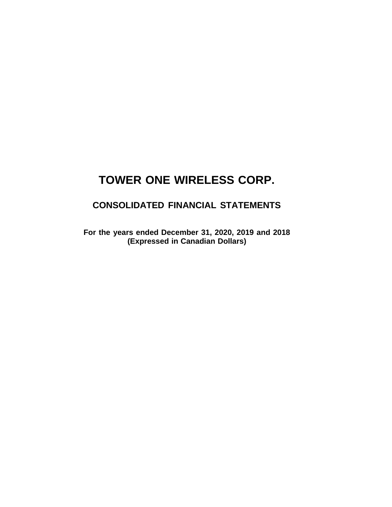# **CONSOLIDATED FINANCIAL STATEMENTS**

**For the years ended December 31, 2020, 2019 and 2018 (Expressed in Canadian Dollars)**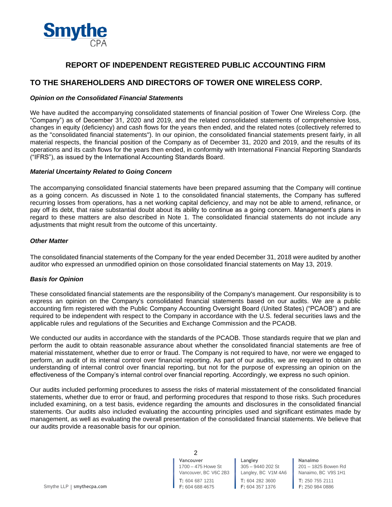

# **REPORT OF INDEPENDENT REGISTERED PUBLIC ACCOUNTING FIRM**

# **TO THE SHAREHOLDERS AND DIRECTORS OF TOWER ONE WIRELESS CORP.**

### *Opinion on the Consolidated Financial Statements*

We have audited the accompanying consolidated statements of financial position of Tower One Wireless Corp. (the "Company") as of December 31, 2020 and 2019, and the related consolidated statements of comprehensive loss, changes in equity (deficiency) and cash flows for the years then ended, and the related notes (collectively referred to as the "consolidated financial statements"). In our opinion, the consolidated financial statements present fairly, in all material respects, the financial position of the Company as of December 31, 2020 and 2019, and the results of its operations and its cash flows for the years then ended, in conformity with International Financial Reporting Standards ("IFRS"), as issued by the International Accounting Standards Board.

### *Material Uncertainty Related to Going Concern*

The accompanying consolidated financial statements have been prepared assuming that the Company will continue as a going concern. As discussed in Note 1 to the consolidated financial statements, the Company has suffered recurring losses from operations, has a net working capital deficiency, and may not be able to amend, refinance, or pay off its debt, that raise substantial doubt about its ability to continue as a going concern. Management's plans in regard to these matters are also described in Note 1. The consolidated financial statements do not include any adjustments that might result from the outcome of this uncertainty.

### *Other Matter*

The consolidated financial statements of the Company for the year ended December 31, 2018 were audited by another auditor who expressed an unmodified opinion on those consolidated financial statements on May 13, 2019.

## *Basis for Opinion*

These consolidated financial statements are the responsibility of the Company's management. Our responsibility is to express an opinion on the Company's consolidated financial statements based on our audits. We are a public accounting firm registered with the Public Company Accounting Oversight Board (United States) ("PCAOB") and are required to be independent with respect to the Company in accordance with the U.S. federal securities laws and the applicable rules and regulations of the Securities and Exchange Commission and the PCAOB.

We conducted our audits in accordance with the standards of the PCAOB. Those standards require that we plan and perform the audit to obtain reasonable assurance about whether the consolidated financial statements are free of material misstatement, whether due to error or fraud. The Company is not required to have, nor were we engaged to perform, an audit of its internal control over financial reporting. As part of our audits, we are required to obtain an understanding of internal control over financial reporting, but not for the purpose of expressing an opinion on the effectiveness of the Company's internal control over financial reporting. Accordingly, we express no such opinion.

Our audits included performing procedures to assess the risks of material misstatement of the consolidated financial statements, whether due to error or fraud, and performing procedures that respond to those risks. Such procedures included examining, on a test basis, evidence regarding the amounts and disclosures in the consolidated financial statements. Our audits also included evaluating the accounting principles used and significant estimates made by management, as well as evaluating the overall presentation of the consolidated financial statements. We believe that our audits provide a reasonable basis for our opinion.

> 2 **Vancouver** 1700 – 475 Howe St Vancouver, BC V6C 2B3

**T:** 604 687 1231 **F:** 604 688 4675

**Langley** 305 – 9440 202 St Langley, BC V1M 4A6 **T:** 604 282 3600 **F:** 604 357 1376

**Nanaimo** 201 – 1825 Bowen Rd Nanaimo, BC V9S 1H1

Smythe LLP | **smythecpa.com F:** 250 984 0886

**T:** 250 755 2111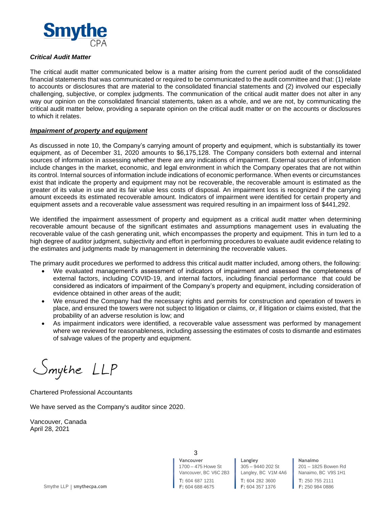

### *Critical Audit Matter*

The critical audit matter communicated below is a matter arising from the current period audit of the consolidated financial statements that was communicated or required to be communicated to the audit committee and that: (1) relate to accounts or disclosures that are material to the consolidated financial statements and (2) involved our especially challenging, subjective, or complex judgments. The communication of the critical audit matter does not alter in any way our opinion on the consolidated financial statements, taken as a whole, and we are not, by communicating the critical audit matter below, providing a separate opinion on the critical audit matter or on the accounts or disclosures to which it relates.

### *Impairment of property and equipment*

As discussed in note 10, the Company's carrying amount of property and equipment, which is substantially its tower equipment, as of December 31, 2020 amounts to \$6,175,128. The Company considers both external and internal sources of information in assessing whether there are any indications of impairment. External sources of information include changes in the market, economic, and legal environment in which the Company operates that are not within its control. Internal sources of information include indications of economic performance. When events or circumstances exist that indicate the property and equipment may not be recoverable, the recoverable amount is estimated as the greater of its value in use and its fair value less costs of disposal. An impairment loss is recognized if the carrying amount exceeds its estimated recoverable amount. Indicators of impairment were identified for certain property and equipment assets and a recoverable value assessment was required resulting in an impairment loss of \$441,292.

We identified the impairment assessment of property and equipment as a critical audit matter when determining recoverable amount because of the significant estimates and assumptions management uses in evaluating the recoverable value of the cash generating unit, which encompasses the property and equipment. This in turn led to a high degree of auditor judgment, subjectivity and effort in performing procedures to evaluate audit evidence relating to the estimates and judgments made by management in determining the recoverable values.

The primary audit procedures we performed to address this critical audit matter included, among others, the following:

- We evaluated management's assessment of indicators of impairment and assessed the completeness of external factors, including COVID-19, and internal factors, including financial performance that could be considered as indicators of impairment of the Company's property and equipment, including consideration of evidence obtained in other areas of the audit;
- We ensured the Company had the necessary rights and permits for construction and operation of towers in place, and ensured the towers were not subject to litigation or claims, or, if litigation or claims existed, that the probability of an adverse resolution is low; and
- As impairment indicators were identified, a recoverable value assessment was performed by management where we reviewed for reasonableness, including assessing the estimates of costs to dismantle and estimates of salvage values of the property and equipment.

Smythe LLP

Chartered Professional Accountants

We have served as the Company's auditor since 2020.

Vancouver, Canada April 28, 2021

> 3 **Vancouver** 1700 – 475 Howe St Vancouver, BC V6C 2B3 **T:** 604 687 1231

**F:** 604 688 4675

Langley, BC V1M 4A6 **T:** 604 282 3600 **F:** 604 357 1376

**Langley** 305 – 9440 202 St **Nanaimo** 201 – 1825 Bowen Rd Nanaimo, BC V9S 1H1

**T:** 250 755 2111

Smythe LLP | **smythecpa.com F:** 250 984 0886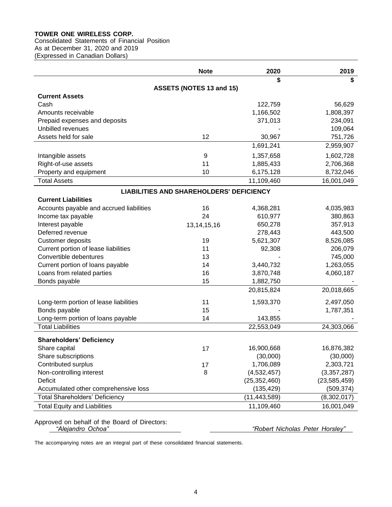# Consolidated Statements of Financial Position

As at December 31, 2020 and 2019 (Expressed in Canadian Dollars)

|                                          | <b>Note</b>                                     | 2020           | 2019           |
|------------------------------------------|-------------------------------------------------|----------------|----------------|
|                                          |                                                 | \$             | \$             |
| <b>Current Assets</b>                    | ASSETS (NOTES 13 and 15)                        |                |                |
| Cash                                     |                                                 | 122,759        | 56,629         |
| Amounts receivable                       |                                                 | 1,166,502      | 1,808,397      |
| Prepaid expenses and deposits            |                                                 | 371,013        | 234,091        |
| Unbilled revenues                        |                                                 |                | 109,064        |
| Assets held for sale                     | 12                                              | 30,967         | 751,726        |
|                                          |                                                 | 1,691,241      | 2,959,907      |
| Intangible assets                        | 9                                               | 1,357,658      | 1,602,728      |
| Right-of-use assets                      | 11                                              | 1,885,433      | 2,706,368      |
| Property and equipment                   | 10                                              | 6,175,128      | 8,732,046      |
| <b>Total Assets</b>                      |                                                 | 11,109,460     | 16,001,049     |
|                                          | <b>LIABILITIES AND SHAREHOLDERS' DEFICIENCY</b> |                |                |
| <b>Current Liabilities</b>               |                                                 |                |                |
| Accounts payable and accrued liabilities | 16                                              | 4,368,281      | 4,035,983      |
| Income tax payable                       | 24                                              | 610,977        | 380,863        |
| Interest payable                         | 13, 14, 15, 16                                  | 650,278        | 357,913        |
| Deferred revenue                         |                                                 | 278,443        | 443,500        |
| Customer deposits                        | 19                                              | 5,621,307      | 8,526,085      |
| Current portion of lease liabilities     | 11                                              | 92,308         | 206,079        |
| Convertible debentures                   | 13                                              |                | 745,000        |
| Current portion of loans payable         | 14                                              | 3,440,732      | 1,263,055      |
| Loans from related parties               | 16                                              | 3,870,748      | 4,060,187      |
| Bonds payable                            | 15                                              | 1,882,750      |                |
|                                          |                                                 | 20,815,824     | 20,018,665     |
| Long-term portion of lease liabilities   | 11                                              | 1,593,370      | 2,497,050      |
| Bonds payable                            | 15                                              |                | 1,787,351      |
| Long-term portion of loans payable       | 14                                              | 143,855        |                |
| <b>Total Liabilities</b>                 |                                                 | 22,553,049     | 24,303,066     |
| <b>Shareholders' Deficiency</b>          |                                                 |                |                |
| Share capital                            | 17                                              | 16,900,668     | 16,876,382     |
| Share subscriptions                      |                                                 | (30,000)       | (30,000)       |
| Contributed surplus                      | 17                                              | 1,706,089      | 2,303,721      |
| Non-controlling interest                 | 8                                               | (4,532,457)    | (3,357,287)    |
| Deficit                                  |                                                 | (25, 352, 460) | (23, 585, 459) |
| Accumulated other comprehensive loss     |                                                 | (135, 429)     | (509, 374)     |
| <b>Total Shareholders' Deficiency</b>    |                                                 | (11, 443, 589) | (8,302,017)    |
| <b>Total Equity and Liabilities</b>      |                                                 | 11,109,460     | 16,001,049     |

Approved on behalf of the Board of Directors:

*"Alejandro Ochoa" "Robert Nicholas Peter Horsley"*

The accompanying notes are an integral part of these consolidated financial statements.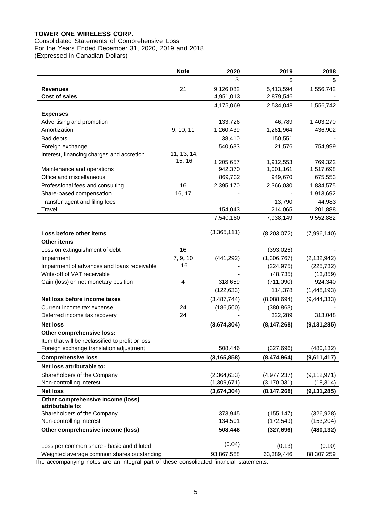Consolidated Statements of Comprehensive Loss For the Years Ended December 31, 2020, 2019 and 2018 (Expressed in Canadian Dollars)

|                                                       | <b>Note</b> | 2020          | 2019          | 2018          |
|-------------------------------------------------------|-------------|---------------|---------------|---------------|
|                                                       |             | \$            | \$            | \$            |
| <b>Revenues</b>                                       | 21          | 9,126,082     | 5,413,594     | 1,556,742     |
| <b>Cost of sales</b>                                  |             | 4,951,013     | 2,879,546     |               |
|                                                       |             | 4,175,069     | 2,534,048     | 1,556,742     |
| <b>Expenses</b>                                       |             |               |               |               |
| Advertising and promotion                             |             | 133,726       | 46,789        | 1,403,270     |
| Amortization                                          | 9, 10, 11   | 1,260,439     | 1,261,964     | 436,902       |
| <b>Bad debts</b>                                      |             | 38,410        | 150,551       |               |
| Foreign exchange                                      |             | 540,633       | 21,576        | 754,999       |
| Interest, financing charges and accretion             | 11, 13, 14, |               |               |               |
|                                                       | 15, 16      | 1,205,657     | 1,912,553     | 769,322       |
| Maintenance and operations                            |             | 942,370       | 1,001,161     | 1,517,698     |
| Office and miscellaneous                              |             | 869,732       | 949,670       | 675,553       |
| Professional fees and consulting                      | 16          | 2,395,170     | 2,366,030     | 1,834,575     |
| Share-based compensation                              | 16, 17      |               |               | 1,913,692     |
| Transfer agent and filing fees                        |             |               | 13,790        | 44,983        |
| Travel                                                |             | 154,043       | 214,065       | 201,888       |
|                                                       |             | 7,540,180     | 7,938,149     | 9,552,882     |
|                                                       |             |               |               |               |
| Loss before other items                               |             | (3,365,111)   | (8,203,072)   | (7,996,140)   |
| <b>Other items</b>                                    |             |               |               |               |
| Loss on extinguishment of debt                        | 16          |               | (393,026)     |               |
| Impairment                                            | 7, 9, 10    | (441, 292)    | (1,306,767)   | (2, 132, 942) |
| Impairment of advances and loans receivable           | 16          |               | (224, 975)    | (225, 732)    |
| Write-off of VAT receivable                           |             |               | (48, 735)     | (13, 859)     |
| Gain (loss) on net monetary position                  | 4           | 318,659       | (711,090)     | 924,340       |
|                                                       |             | (122, 633)    | 114,378       | (1,448,193)   |
| Net loss before income taxes                          |             | (3,487,744)   | (8,088,694)   | (9, 444, 333) |
| Current income tax expense                            | 24          | (186, 560)    | (380, 863)    |               |
| Deferred income tax recovery                          | 24          |               | 322,289       | 313,048       |
| <b>Net loss</b>                                       |             | (3,674,304)   | (8, 147, 268) | (9, 131, 285) |
| Other comprehensive loss:                             |             |               |               |               |
| Item that will be reclassified to profit or loss      |             |               |               |               |
| Foreign exchange translation adjustment               |             | 508,446       | (327, 696)    | (480, 132)    |
| <b>Comprehensive loss</b>                             |             | (3, 165, 858) | (8,474,964)   | (9,611,417)   |
| Net loss attributable to:                             |             |               |               |               |
| Shareholders of the Company                           |             | (2,364,633)   | (4,977,237)   | (9, 112, 971) |
| Non-controlling interest                              |             | (1,309,671)   | (3, 170, 031) | (18, 314)     |
| <b>Net loss</b>                                       |             | (3,674,304)   | (8, 147, 268) | (9, 131, 285) |
| Other comprehensive income (loss)<br>attributable to: |             |               |               |               |
| Shareholders of the Company                           |             | 373,945       | (155, 147)    | (326, 928)    |
| Non-controlling interest                              |             | 134,501       | (172, 549)    | (153, 204)    |
| Other comprehensive income (loss)                     |             | 508,446       | (327, 696)    | (480, 132)    |
|                                                       |             |               |               |               |
| Loss per common share - basic and diluted             |             | (0.04)        | (0.13)        | (0.10)        |
| Weighted average common shares outstanding            |             | 93,867,588    | 63,389,446    | 88,307,259    |

The accompanying notes are an integral part of these consolidated financial statements.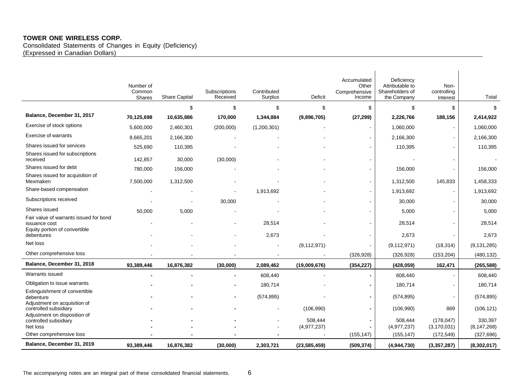Consolidated Statements of Changes in Equity (Deficiency) (Expressed in Canadian Dollars)

|                                                                                                        | Number of<br>Common<br><b>Shares</b> | <b>Share Capital</b> | Subscriptions<br>Received | Contributed<br>Surplus | Deficit                | Accumulated<br>Other<br>Comprehensive<br>Income | Deficiency<br>Attributable to<br>Shareholders of<br>the Company | Non-<br>controlling<br>Interest | Total                    |
|--------------------------------------------------------------------------------------------------------|--------------------------------------|----------------------|---------------------------|------------------------|------------------------|-------------------------------------------------|-----------------------------------------------------------------|---------------------------------|--------------------------|
|                                                                                                        |                                      | \$                   | \$                        | \$                     | \$                     | \$                                              | \$                                                              | \$                              | \$                       |
| Balance, December 31, 2017                                                                             | 70,125,698                           | 10,635,886           | 170,000                   | 1,344,884              | (9,896,705)            | (27, 299)                                       | 2,226,766                                                       | 188,156                         | 2,414,922                |
| Exercise of stock options                                                                              | 5,600,000                            | 2,460,301            | (200,000)                 | (1,200,301)            |                        |                                                 | 1,060,000                                                       | $\blacksquare$                  | 1,060,000                |
| <b>Exercise of warrants</b>                                                                            | 8,665,201                            | 2,166,300            |                           |                        |                        |                                                 | 2,166,300                                                       |                                 | 2,166,300                |
| Shares issued for services                                                                             | 525,690                              | 110,395              |                           |                        |                        |                                                 | 110,395                                                         |                                 | 110,395                  |
| Shares issued for subscriptions<br>received                                                            | 142,857                              | 30,000               | (30,000)                  |                        |                        |                                                 |                                                                 |                                 |                          |
| Shares issued for debt                                                                                 | 780,000                              | 156,000              |                           |                        |                        |                                                 | 156,000                                                         |                                 | 156,000                  |
| Shares issued for acquisition of<br>Mexmaken                                                           | 7,500,000                            | 1,312,500            |                           |                        |                        |                                                 | 1,312,500                                                       | 145,833                         | 1,458,333                |
| Share-based compensation                                                                               |                                      |                      | $\overline{a}$            | 1,913,692              |                        |                                                 | 1,913,692                                                       | $\overline{a}$                  | 1,913,692                |
| Subscriptions received                                                                                 |                                      |                      | 30,000                    |                        |                        |                                                 | 30,000                                                          |                                 | 30,000                   |
| Shares issued                                                                                          | 50,000                               | 5,000                |                           |                        |                        |                                                 | 5,000                                                           |                                 | 5,000                    |
| Fair value of warrants issued for bond<br>issuance cost<br>Equity portion of convertible<br>debentures |                                      |                      |                           | 28,514<br>2,673        |                        |                                                 | 28,514<br>2,673                                                 |                                 | 28,514<br>2,673          |
| Net loss                                                                                               |                                      |                      |                           |                        |                        |                                                 |                                                                 |                                 |                          |
|                                                                                                        |                                      |                      |                           |                        | (9, 112, 971)          |                                                 | (9, 112, 971)                                                   | (18, 314)                       | (9, 131, 285)            |
| Other comprehensive loss                                                                               |                                      |                      |                           | $\sim$                 |                        | (326, 928)                                      | (326, 928)                                                      | (153, 204)                      | (480, 132)               |
| Balance, December 31, 2018                                                                             | 93,389,446                           | 16,876,382           | (30,000)                  | 2,089,462              | (19,009,676)           | (354, 227)                                      | (428, 059)                                                      | 162,471                         | (265, 588)               |
| Warrants issued                                                                                        |                                      |                      | $\blacksquare$            | 608,440                |                        |                                                 | 608,440                                                         |                                 | 608,440                  |
| Obligation to issue warrants                                                                           |                                      |                      |                           | 180,714                |                        |                                                 | 180,714                                                         |                                 | 180,714                  |
| Extinguishment of convertible<br>debenture                                                             |                                      |                      |                           | (574, 895)             |                        |                                                 | (574, 895)                                                      |                                 | (574, 895)               |
| Adjustment on acquisition of<br>controlled subsidiary<br>Adjustment on disposition of                  |                                      |                      |                           |                        | (106, 990)             |                                                 | (106, 990)                                                      | 869                             | (106, 121)               |
| controlled subsidiary<br>Net loss                                                                      |                                      |                      |                           |                        | 508,444<br>(4,977,237) |                                                 | 508,444<br>(4,977,237)                                          | (178, 047)<br>(3, 170, 031)     | 330,397<br>(8, 147, 268) |
| Other comprehensive loss                                                                               |                                      |                      |                           |                        |                        | (155, 147)                                      | (155, 147)                                                      | (172, 549)                      | (327, 696)               |
| Balance, December 31, 2019                                                                             | 93,389,446                           | 16,876,382           | (30,000)                  | 2,303,721              | (23, 585, 459)         | (509, 374)                                      | (4,944,730)                                                     | (3,357,287)                     | (8,302,017)              |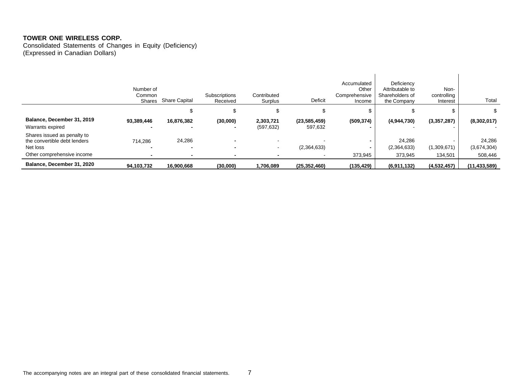Consolidated Statements of Changes in Equity (Deficiency) (Expressed in Canadian Dollars)

|                                                                                                       | Number of<br>Common<br><b>Shares</b> | <b>Share Capital</b>     | Subscriptions<br>Received | Contributed<br>Surplus           | Deficit        | Accumulated<br>Other<br>Comprehensive<br>Income | Deficiency<br>Attributable to<br>Shareholders of<br>the Company | Non-<br>controlling<br>Interest | Total                 |
|-------------------------------------------------------------------------------------------------------|--------------------------------------|--------------------------|---------------------------|----------------------------------|----------------|-------------------------------------------------|-----------------------------------------------------------------|---------------------------------|-----------------------|
|                                                                                                       |                                      | \$                       |                           |                                  |                |                                                 |                                                                 |                                 |                       |
| Balance, December 31, 2019                                                                            | 93,389,446                           | 16,876,382               | (30,000)                  | 2,303,721                        | (23, 585, 459) | (509, 374)                                      | (4,944,730)                                                     | (3,357,287)                     | (8,302,017)           |
| Warrants expired                                                                                      | $\overline{\phantom{a}}$             | $\overline{\phantom{a}}$ |                           | (597, 632)                       | 597,632        |                                                 |                                                                 |                                 |                       |
| Shares issued as penalty to<br>the convertible debt lenders<br>Net loss<br>Other comprehensive income | 714,286                              | 24,286<br>$\blacksquare$ |                           | $\blacksquare$<br>$\blacksquare$ | (2,364,633)    |                                                 | 24.286<br>(2,364,633)                                           | (1,309,671)                     | 24,286<br>(3,674,304) |
|                                                                                                       |                                      |                          |                           |                                  |                | 373,945                                         | 373,945                                                         | 134,501                         | 508,446               |
| Balance, December 31, 2020                                                                            | 94,103,732                           | 16,900,668               | (30,000)                  | 1,706,089                        | (25, 352, 460) | (135, 429)                                      | (6,911,132)                                                     | (4,532,457)                     | (11, 433, 589)        |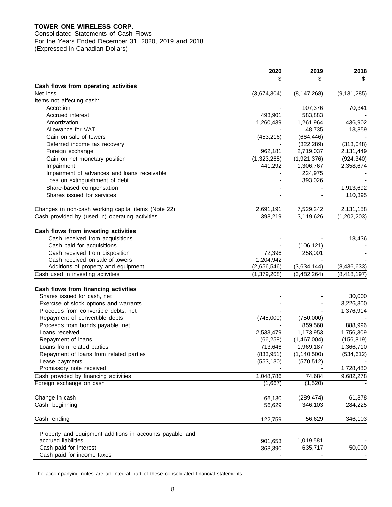Consolidated Statements of Cash Flows For the Years Ended December 31, 2020, 2019 and 2018 (Expressed in Canadian Dollars)

|                                                          | 2020        | 2019          | 2018          |
|----------------------------------------------------------|-------------|---------------|---------------|
|                                                          |             | \$            |               |
| Cash flows from operating activities                     |             |               |               |
| Net loss                                                 | (3,674,304) | (8, 147, 268) | (9, 131, 285) |
| Items not affecting cash:                                |             |               |               |
| Accretion                                                |             | 107,376       | 70,341        |
| Accrued interest                                         | 493,901     | 583,883       |               |
| Amortization                                             | 1,260,439   | 1,261,964     | 436,902       |
| Allowance for VAT                                        |             | 48,735        | 13,859        |
| Gain on sale of towers                                   | (453, 216)  | (664, 446)    |               |
| Deferred income tax recovery                             |             | (322, 289)    | (313,048)     |
| Foreign exchange                                         | 962,181     | 2,719,037     | 2,131,449     |
| Gain on net monetary position                            | (1,323,265) | (1,921,376)   | (924, 340)    |
| Impairment                                               | 441,292     | 1,306,767     | 2,358,674     |
| Impairment of advances and loans receivable              |             | 224,975       |               |
| Loss on extinguishment of debt                           |             | 393,026       |               |
| Share-based compensation                                 |             |               | 1,913,692     |
| Shares issued for services                               |             |               | 110,395       |
|                                                          |             |               |               |
| Changes in non-cash working capital items (Note 22)      | 2,691,191   | 7,529,242     | 2,131,158     |
| Cash provided by (used in) operating activities          | 398,219     | 3,119,626     | (1,202,203)   |
|                                                          |             |               |               |
| Cash flows from investing activities                     |             |               |               |
| Cash received from acquisitions                          |             |               | 18,436        |
| Cash paid for acquisitions                               |             | (106, 121)    |               |
| Cash received from disposition                           | 72,396      | 258,001       |               |
| Cash received on sale of towers                          | 1,204,942   |               |               |
| Additions of property and equipment                      | (2,656,546) | (3,634,144)   | (8,436,633)   |
| Cash used in investing activities                        | (1,379,208) | (3,482,264)   | (8, 418, 197) |
|                                                          |             |               |               |
| Cash flows from financing activities                     |             |               |               |
| Shares issued for cash, net                              |             |               | 30,000        |
| Exercise of stock options and warrants                   |             |               | 3,226,300     |
| Proceeds from convertible debts, net                     |             |               | 1,376,914     |
| Repayment of convertible debts                           | (745,000)   | (750,000)     |               |
| Proceeds from bonds payable, net                         |             | 859,560       | 888,996       |
| Loans received                                           | 2,533,479   | 1,173,953     | 1,756,309     |
| Repayment of loans                                       | (66, 258)   | (1,467,004)   | (156, 819)    |
| Loans from related parties                               | 713,646     | 1,969,187     | 1,366,710     |
| Repayment of loans from related parties                  | (833,951)   | (1, 140, 500) | (534, 612)    |
| Lease payments                                           | (553, 130)  | (570, 512)    |               |
| Promissory note received                                 |             |               | 1,728,480     |
| Cash provided by financing activities                    | 1,048,786   | 74,684        | 9,682,278     |
| Foreign exchange on cash                                 | (1,667)     | (1,520)       |               |
|                                                          |             |               |               |
| Change in cash                                           | 66,130      | (289, 474)    | 61,878        |
| Cash, beginning                                          | 56,629      | 346,103       | 284,225       |
| Cash, ending                                             | 122,759     | 56,629        | 346,103       |
|                                                          |             |               |               |
| Property and equipment additions in accounts payable and |             |               |               |
| accrued liabilities                                      | 901,653     | 1,019,581     |               |
| Cash paid for interest                                   | 368,390     | 635,717       | 50,000        |
| Cash paid for income taxes                               |             |               |               |

The accompanying notes are an integral part of these consolidated financial statements.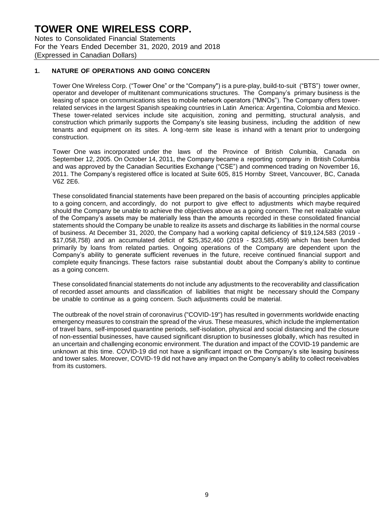Notes to Consolidated Financial Statements For the Years Ended December 31, 2020, 2019 and 2018 (Expressed in Canadian Dollars)

## **1. NATURE OF OPERATIONS AND GOING CONCERN**

Tower One Wireless Corp. ("Tower One" or the "Company") is a pure-play, build-to-suit ("BTS") tower owner, operator and developer of multitenant communications structures. The Company's primary business is the leasing of space on communications sites to mobile network operators ("MNOs"). The Company offers towerrelated services in the largest Spanish speaking countries in Latin America: Argentina, Colombia and Mexico. These tower-related services include site acquisition, zoning and permitting, structural analysis, and construction which primarily supports the Company's site leasing business, including the addition of new tenants and equipment on its sites. A long -term site lease is inhand with a tenant prior to undergoing construction.

Tower One was incorporated under the laws of the Province of British Columbia, Canada on September 12, 2005. On October 14, 2011, the Company became a reporting company in British Columbia and was approved by the Canadian Securities Exchange ("CSE") and commenced trading on November 16, 2011. The Company's registered office is located at Suite 605, 815 Hornby Street, Vancouver, BC, Canada V6Z 2E6.

These consolidated financial statements have been prepared on the basis of accounting principles applicable to a going concern, and accordingly, do not purport to give effect to adjustments which maybe required should the Company be unable to achieve the objectives above as a going concern. The net realizable value of the Company's assets may be materially less than the amounts recorded in these consolidated financial statements should the Company be unable to realize its assets and discharge its liabilities in the normal course of business. At December 31, 2020, the Company had a working capital deficiency of \$19,124,583 (2019 - \$17,058,758) and an accumulated deficit of \$25,352,460 (2019 - \$23,585,459) which has been funded primarily by loans from related parties. Ongoing operations of the Company are dependent upon the Company's ability to generate sufficient revenues in the future, receive continued financial support and complete equity financings. These factors raise substantial doubt about the Company's ability to continue as a going concern.

These consolidated financial statements do not include any adjustments to the recoverability and classification of recorded asset amounts and classification of liabilities that might be necessary should the Company be unable to continue as a going concern. Such adjustments could be material.

The outbreak of the novel strain of coronavirus ("COVID-19") has resulted in governments worldwide enacting emergency measures to constrain the spread of the virus. These measures, which include the implementation of travel bans, self-imposed quarantine periods, self-isolation, physical and social distancing and the closure of non-essential businesses, have caused significant disruption to businesses globally, which has resulted in an uncertain and challenging economic environment. The duration and impact of the COVID-19 pandemic are unknown at this time. COVID-19 did not have a significant impact on the Company's site leasing business and tower sales. Moreover, COVID-19 did not have any impact on the Company's ability to collect receivables from its customers.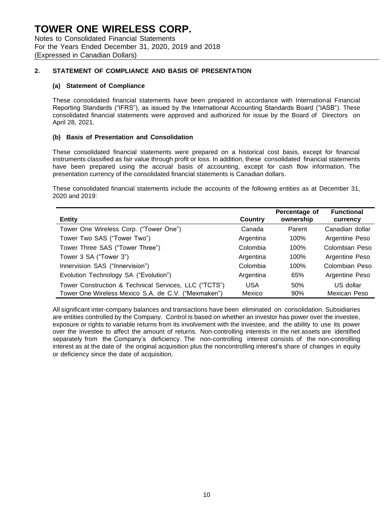Notes to Consolidated Financial Statements For the Years Ended December 31, 2020, 2019 and 2018 (Expressed in Canadian Dollars)

## **2. STATEMENT OF COMPLIANCE AND BASIS OF PRESENTATION**

### **(a) Statement of Compliance**

These consolidated financial statements have been prepared in accordance with International Financial Reporting Standards ("IFRS"), as issued by the International Accounting Standards Board ("IASB"). These consolidated financial statements were approved and authorized for issue by the Board of Directors on April 28, 2021.

### **(b) Basis of Presentation and Consolidation**

These consolidated financial statements were prepared on a historical cost basis, except for financial instruments classified as fair value through profit or loss. In addition, these consolidated financial statements have been prepared using the accrual basis of accounting, except for cash flow information. The presentation currency of the consolidated financial statements is Canadian dollars.

These consolidated financial statements include the accounts of the following entities as at December 31, 2020 and 2019:

| <b>Entity</b>                                         | Country    | Percentage of<br>ownership | <b>Functional</b><br>currency |
|-------------------------------------------------------|------------|----------------------------|-------------------------------|
| Tower One Wireless Corp. ("Tower One")                | Canada     | Parent                     | Canadian dollar               |
| Tower Two SAS ("Tower Two")                           | Argentina  | 100%                       | Argentine Peso                |
| Tower Three SAS ("Tower Three")                       | Colombia   | 100%                       | Colombian Peso                |
| Tower 3 SA ("Tower 3")                                | Argentina  | 100%                       | Argentine Peso                |
| Innervision SAS ("Innervision")                       | Colombia   | 100%                       | Colombian Peso                |
| Evolution Technology SA ("Evolution")                 | Argentina  | 65%                        | Argentine Peso                |
| Tower Construction & Technical Services, LLC ("TCTS") | <b>USA</b> | 50%                        | US dollar                     |
| Tower One Wireless Mexico S.A. de C.V. ("Mexmaken")   | Mexico     | 90%                        | Mexican Peso                  |

All significant inter-company balances and transactions have been eliminated on consolidation. Subsidiaries are entities controlled by the Company. Control is based on whether an investor has power over the investee, exposure or rights to variable returns from its involvement with the investee, and the ability to use its power over the investee to affect the amount of returns. Non-controlling interests in the net assets are identified separately from the Company's deficiency. The non-controlling interest consists of the non-controlling interest as at the date of the original acquisition plus the noncontrolling interest's share of changes in equity or deficiency since the date of acquisition.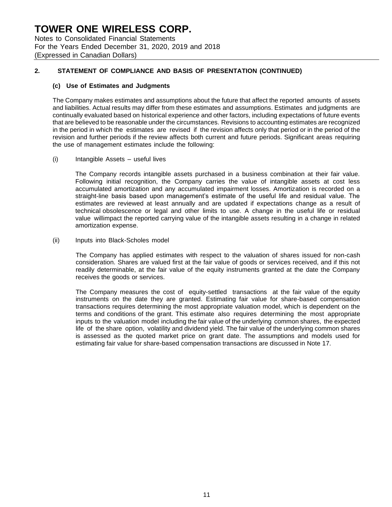Notes to Consolidated Financial Statements For the Years Ended December 31, 2020, 2019 and 2018 (Expressed in Canadian Dollars)

## **2. STATEMENT OF COMPLIANCE AND BASIS OF PRESENTATION (CONTINUED)**

### **(c) Use of Estimates and Judgments**

The Company makes estimates and assumptions about the future that affect the reported amounts of assets and liabilities. Actual results may differ from these estimates and assumptions. Estimates and judgments are continually evaluated based on historical experience and other factors, including expectations of future events that are believed to be reasonable under the circumstances. Revisions to accounting estimates are recognized in the period in which the estimates are revised if the revision affects only that period or in the period of the revision and further periods if the review affects both current and future periods. Significant areas requiring the use of management estimates include the following:

(i) Intangible Assets – useful lives

The Company records intangible assets purchased in a business combination at their fair value. Following initial recognition, the Company carries the value of intangible assets at cost less accumulated amortization and any accumulated impairment losses. Amortization is recorded on a straight-line basis based upon management's estimate of the useful life and residual value. The estimates are reviewed at least annually and are updated if expectations change as a result of technical obsolescence or legal and other limits to use. A change in the useful life or residual value willimpact the reported carrying value of the intangible assets resulting in a change in related amortization expense.

(ii) Inputs into Black-Scholes model

The Company has applied estimates with respect to the valuation of shares issued for non-cash consideration. Shares are valued first at the fair value of goods or services received, and if this not readily determinable, at the fair value of the equity instruments granted at the date the Company receives the goods or services.

The Company measures the cost of equity-settled transactions at the fair value of the equity instruments on the date they are granted. Estimating fair value for share-based compensation transactions requires determining the most appropriate valuation model, which is dependent on the terms and conditions of the grant. This estimate also requires determining the most appropriate inputs to the valuation model including the fair value of the underlying common shares, the expected life of the share option, volatility and dividend yield. The fair value of the underlying common shares is assessed as the quoted market price on grant date. The assumptions and models used for estimating fair value for share-based compensation transactions are discussed in Note 17.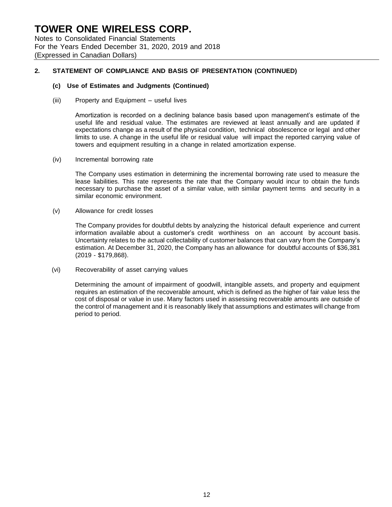# **TOWER ONE WIRELESS CORP.** Notes to Consolidated Financial Statements For the Years Ended December 31, 2020, 2019 and 2018 (Expressed in Canadian Dollars)

### **2. STATEMENT OF COMPLIANCE AND BASIS OF PRESENTATION (CONTINUED)**

### **(c) Use of Estimates and Judgments (Continued)**

(iii) Property and Equipment – useful lives

Amortization is recorded on a declining balance basis based upon management's estimate of the useful life and residual value. The estimates are reviewed at least annually and are updated if expectations change as a result of the physical condition, technical obsolescence or legal and other limits to use. A change in the useful life or residual value will impact the reported carrying value of towers and equipment resulting in a change in related amortization expense.

(iv) Incremental borrowing rate

The Company uses estimation in determining the incremental borrowing rate used to measure the lease liabilities. This rate represents the rate that the Company would incur to obtain the funds necessary to purchase the asset of a similar value, with similar payment terms and security in a similar economic environment.

(v) Allowance for credit losses

The Company provides for doubtful debts by analyzing the historical default experience and current information available about a customer's credit worthiness on an account by account basis. Uncertainty relates to the actual collectability of customer balances that can vary from the Company's estimation. At December 31, 2020, the Company has an allowance for doubtful accounts of \$36,381 (2019 - \$179,868).

(vi) Recoverability of asset carrying values

Determining the amount of impairment of goodwill, intangible assets, and property and equipment requires an estimation of the recoverable amount, which is defined as the higher of fair value less the cost of disposal or value in use. Many factors used in assessing recoverable amounts are outside of the control of management and it is reasonably likely that assumptions and estimates will change from period to period.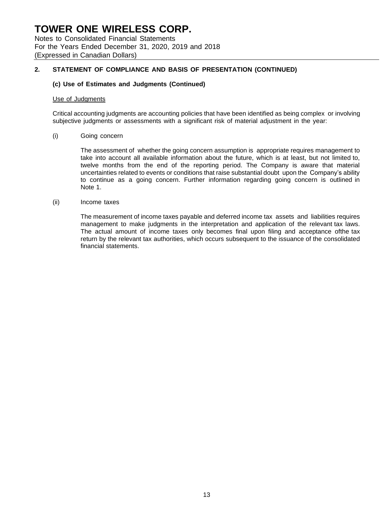Notes to Consolidated Financial Statements For the Years Ended December 31, 2020, 2019 and 2018 (Expressed in Canadian Dollars)

## **2. STATEMENT OF COMPLIANCE AND BASIS OF PRESENTATION (CONTINUED)**

### **(c) Use of Estimates and Judgments (Continued)**

### Use of Judgments

Critical accounting judgments are accounting policies that have been identified as being complex or involving subjective judgments or assessments with a significant risk of material adjustment in the year:

### (i) Going concern

The assessment of whether the going concern assumption is appropriate requires management to take into account all available information about the future, which is at least, but not limited to, twelve months from the end of the reporting period. The Company is aware that material uncertainties related to events or conditions that raise substantial doubt upon the Company's ability to continue as a going concern. Further information regarding going concern is outlined in Note 1.

### (ii) Income taxes

The measurement of income taxes payable and deferred income tax assets and liabilities requires management to make judgments in the interpretation and application of the relevant tax laws. The actual amount of income taxes only becomes final upon filing and acceptance ofthe tax return by the relevant tax authorities, which occurs subsequent to the issuance of the consolidated financial statements.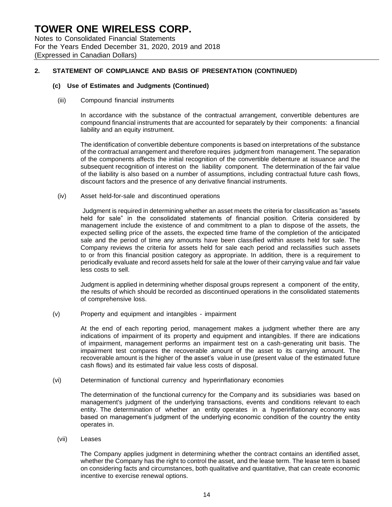# **TOWER ONE WIRELESS CORP.** Notes to Consolidated Financial Statements For the Years Ended December 31, 2020, 2019 and 2018

(Expressed in Canadian Dollars)

## **2. STATEMENT OF COMPLIANCE AND BASIS OF PRESENTATION (CONTINUED)**

### **(c) Use of Estimates and Judgments (Continued)**

(iii) Compound financial instruments

In accordance with the substance of the contractual arrangement, convertible debentures are compound financial instruments that are accounted for separately by their components: a financial liability and an equity instrument.

The identification of convertible debenture components is based on interpretations of the substance of the contractual arrangement and therefore requires judgment from management. The separation of the components affects the initial recognition of the convertible debenture at issuance and the subsequent recognition of interest on the liability component. The determination of the fair value of the liability is also based on a number of assumptions, including contractual future cash flows, discount factors and the presence of any derivative financial instruments.

(iv) Asset held-for-sale and discontinued operations

Judgment is required in determining whether an asset meets the criteria for classification as "assets held for sale" in the consolidated statements of financial position. Criteria considered by management include the existence of and commitment to a plan to dispose of the assets, the expected selling price of the assets, the expected time frame of the completion of the anticipated sale and the period of time any amounts have been classified within assets held for sale. The Company reviews the criteria for assets held for sale each period and reclassifies such assets to or from this financial position category as appropriate. In addition, there is a requirement to periodically evaluate and record assets held for sale at the lower of their carrying value and fair value less costs to sell.

Judgment is applied in determining whether disposal groups represent a component of the entity, the results of which should be recorded as discontinued operations in the consolidated statements of comprehensive loss.

(v) Property and equipment and intangibles - impairment

At the end of each reporting period, management makes a judgment whether there are any indications of impairment of its property and equipment and intangibles. If there are indications of impairment, management performs an impairment test on a cash-generating unit basis. The impairment test compares the recoverable amount of the asset to its carrying amount. The recoverable amount is the higher of the asset's value in use (present value of the estimated future cash flows) and its estimated fair value less costs of disposal.

(vi) Determination of functional currency and hyperinflationary economies

The determination of the functional currency for the Company and its subsidiaries was based on management's judgment of the underlying transactions, events and conditions relevant to each entity. The determination of whether an entity operates in a hyperinflationary economy was based on management's judgment of the underlying economic condition of the country the entity operates in.

(vii) Leases

The Company applies judgment in determining whether the contract contains an identified asset, whether the Company has the right to control the asset, and the lease term. The lease term is based on considering facts and circumstances, both qualitative and quantitative, that can create economic incentive to exercise renewal options.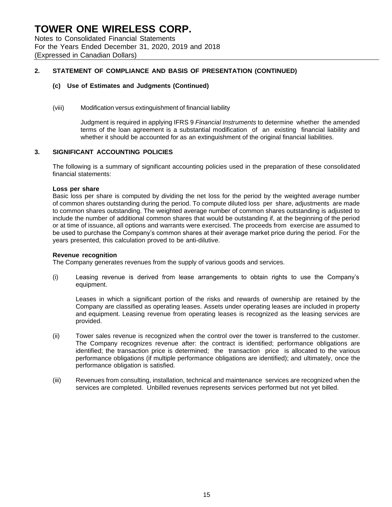Notes to Consolidated Financial Statements For the Years Ended December 31, 2020, 2019 and 2018 (Expressed in Canadian Dollars)

### **2. STATEMENT OF COMPLIANCE AND BASIS OF PRESENTATION (CONTINUED)**

### **(c) Use of Estimates and Judgments (Continued)**

(viii) Modification versus extinguishment of financial liability

Judgment is required in applying IFRS 9 *Financial Instruments* to determine whether the amended terms of the loan agreement is a substantial modification of an existing financial liability and whether it should be accounted for as an extinguishment of the original financial liabilities.

### **3. SIGNIFICANT ACCOUNTING POLICIES**

The following is a summary of significant accounting policies used in the preparation of these consolidated financial statements:

### **Loss per share**

Basic loss per share is computed by dividing the net loss for the period by the weighted average number of common shares outstanding during the period. To compute diluted loss per share, adjustments are made to common shares outstanding. The weighted average number of common shares outstanding is adjusted to include the number of additional common shares that would be outstanding if, at the beginning of the period or at time of issuance, all options and warrants were exercised. The proceeds from exercise are assumed to be used to purchase the Company's common shares at their average market price during the period. For the years presented, this calculation proved to be anti-dilutive.

### **Revenue recognition**

The Company generates revenues from the supply of various goods and services.

(i) Leasing revenue is derived from lease arrangements to obtain rights to use the Company's equipment.

Leases in which a significant portion of the risks and rewards of ownership are retained by the Company are classified as operating leases. Assets under operating leases are included in property and equipment. Leasing revenue from operating leases is recognized as the leasing services are provided.

- (ii) Tower sales revenue is recognized when the control over the tower is transferred to the customer. The Company recognizes revenue after: the contract is identified; performance obligations are identified; the transaction price is determined; the transaction price is allocated to the various performance obligations (if multiple performance obligations are identified); and ultimately, once the performance obligation is satisfied.
- (iii) Revenues from consulting, installation, technical and maintenance services are recognized when the services are completed. Unbilled revenues represents services performed but not yet billed.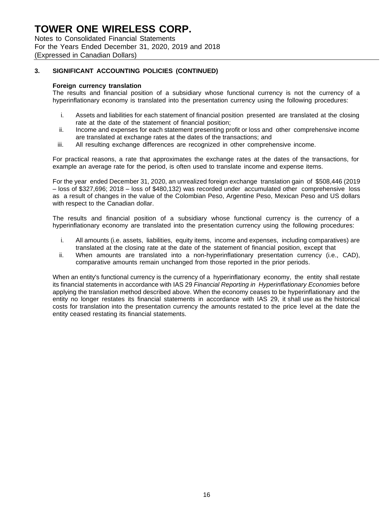Notes to Consolidated Financial Statements For the Years Ended December 31, 2020, 2019 and 2018 (Expressed in Canadian Dollars)

## **3. SIGNIFICANT ACCOUNTING POLICIES (CONTINUED)**

## **Foreign currency translation**

The results and financial position of a subsidiary whose functional currency is not the currency of a hyperinflationary economy is translated into the presentation currency using the following procedures:

- i. Assets and liabilities for each statement of financial position presented are translated at the closing rate at the date of the statement of financial position;
- ii. Income and expenses for each statement presenting profit or loss and other comprehensive income are translated at exchange rates at the dates of the transactions; and
- iii. All resulting exchange differences are recognized in other comprehensive income.

For practical reasons, a rate that approximates the exchange rates at the dates of the transactions, for example an average rate for the period, is often used to translate income and expense items.

For the year ended December 31, 2020, an unrealized foreign exchange translation gain of \$508,446 (2019 – loss of \$327,696; 2018 – loss of \$480,132) was recorded under accumulated other comprehensive loss as a result of changes in the value of the Colombian Peso, Argentine Peso, Mexican Peso and US dollars with respect to the Canadian dollar.

The results and financial position of a subsidiary whose functional currency is the currency of a hyperinflationary economy are translated into the presentation currency using the following procedures:

- i. All amounts (i.e. assets, liabilities, equity items, income and expenses, including comparatives) are translated at the closing rate at the date of the statement of financial position, except that
- ii. When amounts are translated into a non-hyperinflationary presentation currency (i.e., CAD), comparative amounts remain unchanged from those reported in the prior periods.

When an entity's functional currency is the currency of a hyperinflationary economy, the entity shall restate its financial statements in accordance with IAS 29 *Financial Reporting in Hyperinflationary Economies* before applying the translation method described above. When the economy ceases to be hyperinflationary and the entity no longer restates its financial statements in accordance with IAS 29, it shall use as the historical costs for translation into the presentation currency the amounts restated to the price level at the date the entity ceased restating its financial statements.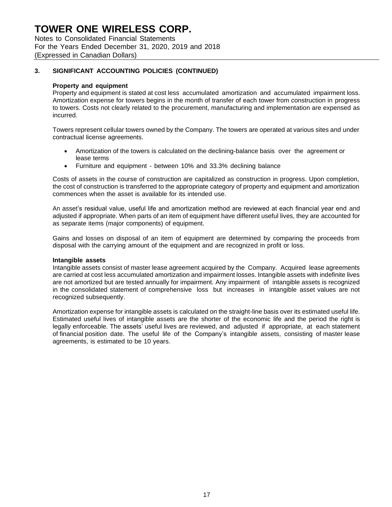Notes to Consolidated Financial Statements For the Years Ended December 31, 2020, 2019 and 2018 (Expressed in Canadian Dollars)

## **3. SIGNIFICANT ACCOUNTING POLICIES (CONTINUED)**

### **Property and equipment**

Property and equipment is stated at cost less accumulated amortization and accumulated impairment loss. Amortization expense for towers begins in the month of transfer of each tower from construction in progress to towers. Costs not clearly related to the procurement, manufacturing and implementation are expensed as incurred.

Towers represent cellular towers owned by the Company. The towers are operated at various sites and under contractual license agreements.

- Amortization of the towers is calculated on the declining-balance basis over the agreement or lease terms
- Furniture and equipment between 10% and 33.3% declining balance

Costs of assets in the course of construction are capitalized as construction in progress. Upon completion, the cost of construction is transferred to the appropriate category of property and equipment and amortization commences when the asset is available for its intended use.

An asset's residual value, useful life and amortization method are reviewed at each financial year end and adjusted if appropriate. When parts of an item of equipment have different useful lives, they are accounted for as separate items (major components) of equipment.

Gains and losses on disposal of an item of equipment are determined by comparing the proceeds from disposal with the carrying amount of the equipment and are recognized in profit or loss.

### **Intangible assets**

Intangible assets consist of master lease agreement acquired by the Company. Acquired lease agreements are carried at cost less accumulated amortization and impairment losses. Intangible assets with indefinite lives are not amortized but are tested annually for impairment. Any impairment of intangible assets is recognized in the consolidated statement of comprehensive loss but increases in intangible asset values are not recognized subsequently.

Amortization expense for intangible assets is calculated on the straight-line basis over its estimated useful life. Estimated useful lives of intangible assets are the shorter of the economic life and the period the right is legally enforceable. The assets' useful lives are reviewed, and adjusted if appropriate, at each statement of financial position date. The useful life of the Company's intangible assets, consisting of master lease agreements, is estimated to be 10 years.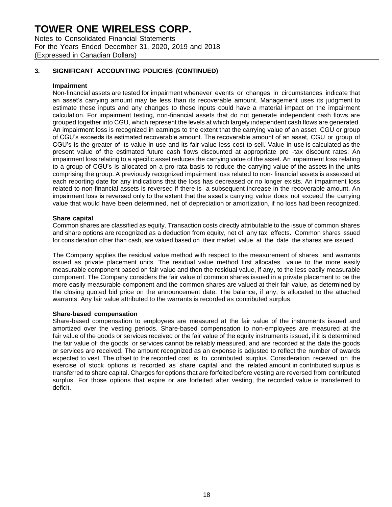Notes to Consolidated Financial Statements For the Years Ended December 31, 2020, 2019 and 2018 (Expressed in Canadian Dollars)

## **3. SIGNIFICANT ACCOUNTING POLICIES (CONTINUED)**

### **Impairment**

Non-financial assets are tested for impairment whenever events or changes in circumstances indicate that an asset's carrying amount may be less than its recoverable amount. Management uses its judgment to estimate these inputs and any changes to these inputs could have a material impact on the impairment calculation. For impairment testing, non-financial assets that do not generate independent cash flows are grouped together into CGU, which represent the levels at which largely independent cash flows are generated. An impairment loss is recognized in earnings to the extent that the carrying value of an asset, CGU or group of CGU's exceeds its estimated recoverable amount. The recoverable amount of an asset, CGU or group of CGU's is the greater of its value in use and its fair value less cost to sell. Value in use is calculated as the present value of the estimated future cash flows discounted at appropriate pre -tax discount rates. An impairment loss relating to a specific asset reduces the carrying value of the asset. An impairment loss relating to a group of CGU's is allocated on a pro-rata basis to reduce the carrying value of the assets in the units comprising the group. A previously recognized impairment loss related to non- financial assets is assessed at each reporting date for any indications that the loss has decreased or no longer exists. An impairment loss related to non-financial assets is reversed if there is a subsequent increase in the recoverable amount. An impairment loss is reversed only to the extent that the asset's carrying value does not exceed the carrying value that would have been determined, net of depreciation or amortization, if no loss had been recognized.

### **Share capital**

Common shares are classified as equity. Transaction costs directly attributable to the issue of common shares and share options are recognized as a deduction from equity, net of any tax effects. Common shares issued for consideration other than cash, are valued based on their market value at the date the shares are issued.

The Company applies the residual value method with respect to the measurement of shares and warrants issued as private placement units. The residual value method first allocates value to the more easily measurable component based on fair value and then the residual value, if any, to the less easily measurable component. The Company considers the fair value of common shares issued in a private placement to be the more easily measurable component and the common shares are valued at their fair value, as determined by the closing quoted bid price on the announcement date. The balance, if any, is allocated to the attached warrants. Any fair value attributed to the warrants is recorded as contributed surplus.

### **Share-based compensation**

Share-based compensation to employees are measured at the fair value of the instruments issued and amortized over the vesting periods. Share-based compensation to non-employees are measured at the fair value of the goods or services received or the fair value of the equity instruments issued, if it is determined the fair value of the goods or services cannot be reliably measured, and are recorded at the date the goods or services are received. The amount recognized as an expense is adjusted to reflect the number of awards expected to vest. The offset to the recorded cost is to contributed surplus. Consideration received on the exercise of stock options is recorded as share capital and the related amount in contributed surplus is transferred to share capital. Charges for options that are forfeited before vesting are reversed from contributed surplus. For those options that expire or are forfeited after vesting, the recorded value is transferred to deficit.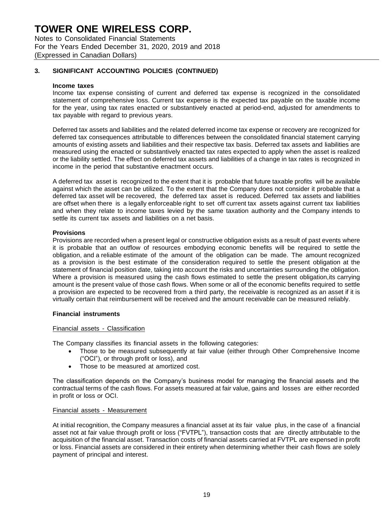Notes to Consolidated Financial Statements For the Years Ended December 31, 2020, 2019 and 2018 (Expressed in Canadian Dollars)

## **3. SIGNIFICANT ACCOUNTING POLICIES (CONTINUED)**

### **Income taxes**

Income tax expense consisting of current and deferred tax expense is recognized in the consolidated statement of comprehensive loss. Current tax expense is the expected tax payable on the taxable income for the year, using tax rates enacted or substantively enacted at period-end, adjusted for amendments to tax payable with regard to previous years.

Deferred tax assets and liabilities and the related deferred income tax expense or recovery are recognized for deferred tax consequences attributable to differences between the consolidated financial statement carrying amounts of existing assets and liabilities and their respective tax basis. Deferred tax assets and liabilities are measured using the enacted or substantively enacted tax rates expected to apply when the asset is realized or the liability settled. The effect on deferred tax assets and liabilities of a change in tax rates is recognized in income in the period that substantive enactment occurs.

A deferred tax asset is recognized to the extent that it is probable that future taxable profits will be available against which the asset can be utilized. To the extent that the Company does not consider it probable that a deferred tax asset will be recovered, the deferred tax asset is reduced. Deferred tax assets and liabilities are offset when there is a legally enforceable right to set off current tax assets against current tax liabilities and when they relate to income taxes levied by the same taxation authority and the Company intends to settle its current tax assets and liabilities on a net basis.

### **Provisions**

Provisions are recorded when a present legal or constructive obligation exists as a result of past events where it is probable that an outflow of resources embodying economic benefits will be required to settle the obligation, and a reliable estimate of the amount of the obligation can be made. The amount recognized as a provision is the best estimate of the consideration required to settle the present obligation at the statement of financial position date, taking into account the risks and uncertainties surrounding the obligation. Where a provision is measured using the cash flows estimated to settle the present obligation, its carrying amount is the present value of those cash flows. When some or all of the economic benefits required to settle a provision are expected to be recovered from a third party, the receivable is recognized as an asset if it is virtually certain that reimbursement will be received and the amount receivable can be measured reliably.

### **Financial instruments**

### Financial assets - Classification

The Company classifies its financial assets in the following categories:

- Those to be measured subsequently at fair value (either through Other Comprehensive Income ("OCI"), or through profit or loss), and
- Those to be measured at amortized cost.

The classification depends on the Company's business model for managing the financial assets and the contractual terms of the cash flows. For assets measured at fair value, gains and losses are either recorded in profit or loss or OCI.

### Financial assets - Measurement

At initial recognition, the Company measures a financial asset at its fair value plus, in the case of a financial asset not at fair value through profit or loss ("FVTPL"), transaction costs that are directly attributable to the acquisition of the financial asset. Transaction costs of financial assets carried at FVTPL are expensed in profit or loss. Financial assets are considered in their entirety when determining whether their cash flows are solely payment of principal and interest.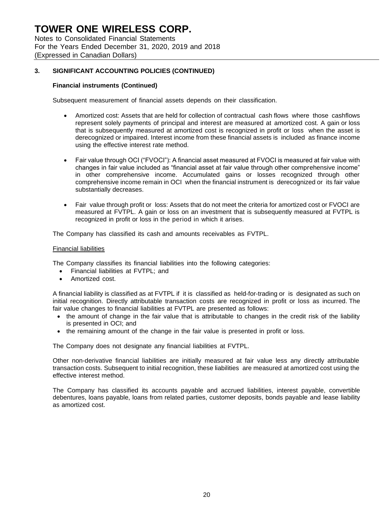Notes to Consolidated Financial Statements For the Years Ended December 31, 2020, 2019 and 2018 (Expressed in Canadian Dollars)

## **3. SIGNIFICANT ACCOUNTING POLICIES (CONTINUED)**

### **Financial instruments (Continued)**

Subsequent measurement of financial assets depends on their classification.

- Amortized cost: Assets that are held for collection of contractual cash flows where those cashflows represent solely payments of principal and interest are measured at amortized cost. A gain or loss that is subsequently measured at amortized cost is recognized in profit or loss when the asset is derecognized or impaired. Interest income from these financial assets is included as finance income using the effective interest rate method.
- Fair value through OCI ("FVOCI"): A financial asset measured at FVOCI is measured at fair value with changes in fair value included as "financial asset at fair value through other comprehensive income" in other comprehensive income. Accumulated gains or losses recognized through other comprehensive income remain in OCI when the financial instrument is derecognized or its fair value substantially decreases.
- Fair value through profit or loss: Assets that do not meet the criteria for amortized cost or FVOCI are measured at FVTPL. A gain or loss on an investment that is subsequently measured at FVTPL is recognized in profit or loss in the period in which it arises.

The Company has classified its cash and amounts receivables as FVTPL.

### Financial liabilities

The Company classifies its financial liabilities into the following categories:

- Financial liabilities at FVTPL; and
- Amortized cost.

A financial liability is classified as at FVTPL if it is classified as held-for-trading or is designated as such on initial recognition. Directly attributable transaction costs are recognized in profit or loss as incurred. The fair value changes to financial liabilities at FVTPL are presented as follows:

- the amount of change in the fair value that is attributable to changes in the credit risk of the liability is presented in OCI; and
- the remaining amount of the change in the fair value is presented in profit or loss.

The Company does not designate any financial liabilities at FVTPL.

Other non-derivative financial liabilities are initially measured at fair value less any directly attributable transaction costs. Subsequent to initial recognition, these liabilities are measured at amortized cost using the effective interest method.

The Company has classified its accounts payable and accrued liabilities, interest payable, convertible debentures, loans payable, loans from related parties, customer deposits, bonds payable and lease liability as amortized cost.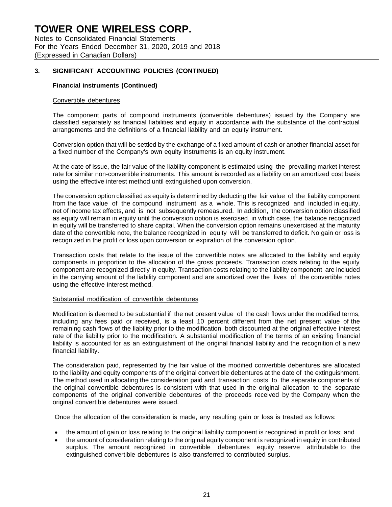Notes to Consolidated Financial Statements For the Years Ended December 31, 2020, 2019 and 2018 (Expressed in Canadian Dollars)

## **3. SIGNIFICANT ACCOUNTING POLICIES (CONTINUED)**

### **Financial instruments (Continued)**

### Convertible debentures

The component parts of compound instruments (convertible debentures) issued by the Company are classified separately as financial liabilities and equity in accordance with the substance of the contractual arrangements and the definitions of a financial liability and an equity instrument.

Conversion option that will be settled by the exchange of a fixed amount of cash or another financial asset for a fixed number of the Company's own equity instruments is an equity instrument.

At the date of issue, the fair value of the liability component is estimated using the prevailing market interest rate for similar non-convertible instruments. This amount is recorded as a liability on an amortized cost basis using the effective interest method until extinguished upon conversion.

The conversion option classified as equity is determined by deducting the fair value of the liability component from the face value of the compound instrument as a whole. This is recognized and included in equity, net of income tax effects, and is not subsequently remeasured. In addition, the conversion option classified as equity will remain in equity until the conversion option is exercised, in which case, the balance recognized in equity will be transferred to share capital. When the conversion option remains unexercised at the maturity date of the convertible note, the balance recognized in equity will be transferred to deficit. No gain or loss is recognized in the profit or loss upon conversion or expiration of the conversion option.

Transaction costs that relate to the issue of the convertible notes are allocated to the liability and equity components in proportion to the allocation of the gross proceeds. Transaction costs relating to the equity component are recognized directly in equity. Transaction costs relating to the liability component are included in the carrying amount of the liability component and are amortized over the lives of the convertible notes using the effective interest method.

### Substantial modification of convertible debentures

Modification is deemed to be substantial if the net present value of the cash flows under the modified terms, including any fees paid or received, is a least 10 percent different from the net present value of the remaining cash flows of the liability prior to the modification, both discounted at the original effective interest rate of the liability prior to the modification. A substantial modification of the terms of an existing financial liability is accounted for as an extinguishment of the original financial liability and the recognition of a new financial liability.

The consideration paid, represented by the fair value of the modified convertible debentures are allocated to the liability and equity components of the original convertible debentures at the date of the extinguishment. The method used in allocating the consideration paid and transaction costs to the separate components of the original convertible debentures is consistent with that used in the original allocation to the separate components of the original convertible debentures of the proceeds received by the Company when the original convertible debentures were issued.

Once the allocation of the consideration is made, any resulting gain or loss is treated as follows:

- the amount of gain or loss relating to the original liability component is recognized in profit or loss; and
- the amount of consideration relating to the original equity component is recognized in equity in contributed surplus. The amount recognized in convertible debentures equity reserve attributable to the extinguished convertible debentures is also transferred to contributed surplus.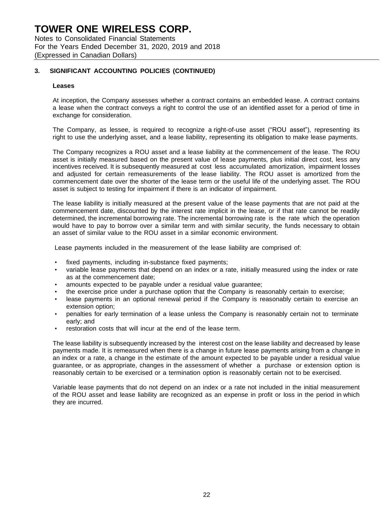Notes to Consolidated Financial Statements For the Years Ended December 31, 2020, 2019 and 2018 (Expressed in Canadian Dollars)

## **3. SIGNIFICANT ACCOUNTING POLICIES (CONTINUED)**

### **Leases**

At inception, the Company assesses whether a contract contains an embedded lease. A contract contains a lease when the contract conveys a right to control the use of an identified asset for a period of time in exchange for consideration.

The Company, as lessee, is required to recognize a right-of-use asset ("ROU asset"), representing its right to use the underlying asset, and a lease liability, representing its obligation to make lease payments.

The Company recognizes a ROU asset and a lease liability at the commencement of the lease. The ROU asset is initially measured based on the present value of lease payments, plus initial direct cost, less any incentives received. It is subsequently measured at cost less accumulated amortization, impairment losses and adjusted for certain remeasurements of the lease liability. The ROU asset is amortized from the commencement date over the shorter of the lease term or the useful life of the underlying asset. The ROU asset is subject to testing for impairment if there is an indicator of impairment.

The lease liability is initially measured at the present value of the lease payments that are not paid at the commencement date, discounted by the interest rate implicit in the lease, or if that rate cannot be readily determined, the incremental borrowing rate. The incremental borrowing rate is the rate which the operation would have to pay to borrow over a similar term and with similar security, the funds necessary to obtain an asset of similar value to the ROU asset in a similar economic environment.

Lease payments included in the measurement of the lease liability are comprised of:

- fixed payments, including in-substance fixed payments;
- variable lease payments that depend on an index or a rate, initially measured using the index or rate as at the commencement date;
- amounts expected to be payable under a residual value guarantee;
- the exercise price under a purchase option that the Company is reasonably certain to exercise;
- lease payments in an optional renewal period if the Company is reasonably certain to exercise an extension option;
- penalties for early termination of a lease unless the Company is reasonably certain not to terminate early; and
- restoration costs that will incur at the end of the lease term.

The lease liability is subsequently increased by the interest cost on the lease liability and decreased by lease payments made. It is remeasured when there is a change in future lease payments arising from a change in an index or a rate, a change in the estimate of the amount expected to be payable under a residual value guarantee, or as appropriate, changes in the assessment of whether a purchase or extension option is reasonably certain to be exercised or a termination option is reasonably certain not to be exercised.

Variable lease payments that do not depend on an index or a rate not included in the initial measurement of the ROU asset and lease liability are recognized as an expense in profit or loss in the period in which they are incurred.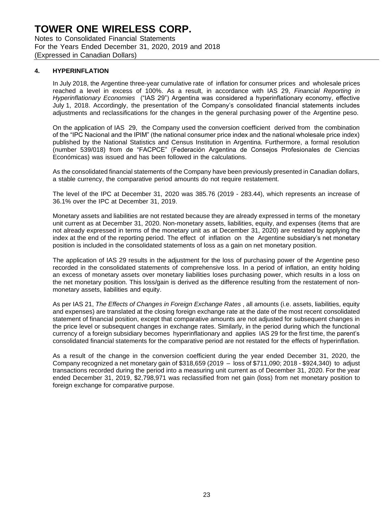### **4. HYPERINFLATION**

In July 2018, the Argentine three-year cumulative rate of inflation for consumer prices and wholesale prices reached a level in excess of 100%. As a result, in accordance with IAS 29, *Financial Reporting in Hyperinflationary Economies* ("IAS 29") Argentina was considered a hyperinflationary economy, effective July 1, 2018. Accordingly, the presentation of the Company's consolidated financial statements includes adjustments and reclassifications for the changes in the general purchasing power of the Argentine peso.

On the application of IAS 29, the Company used the conversion coefficient derived from the combination of the "IPC Nacional and the IPIM" (the national consumer price index and the national wholesale price index) published by the National Statistics and Census Institution in Argentina. Furthermore, a formal resolution (number 539/018) from de "FACPCE" (Federación Argentina de Consejos Profesionales de Ciencias Económicas) was issued and has been followed in the calculations.

As the consolidated financial statements of the Company have been previously presented in Canadian dollars, a stable currency, the comparative period amounts do not require restatement.

The level of the IPC at December 31, 2020 was 385.76 (2019 - 283.44), which represents an increase of 36.1% over the IPC at December 31, 2019.

Monetary assets and liabilities are not restated because they are already expressed in terms of the monetary unit current as at December 31, 2020. Non-monetary assets, liabilities, equity, and expenses (items that are not already expressed in terms of the monetary unit as at December 31, 2020) are restated by applying the index at the end of the reporting period. The effect of inflation on the Argentine subsidiary's net monetary position is included in the consolidated statements of loss as a gain on net monetary position.

The application of IAS 29 results in the adjustment for the loss of purchasing power of the Argentine peso recorded in the consolidated statements of comprehensive loss. In a period of inflation, an entity holding an excess of monetary assets over monetary liabilities loses purchasing power, which results in a loss on the net monetary position. This loss/gain is derived as the difference resulting from the restatement of nonmonetary assets, liabilities and equity.

As per IAS 21, *The Effects of Changes in Foreign Exchange Rates* , all amounts (i.e. assets, liabilities, equity and expenses) are translated at the closing foreign exchange rate at the date of the most recent consolidated statement of financial position, except that comparative amounts are not adjusted for subsequent changes in the price level or subsequent changes in exchange rates. Similarly, in the period during which the functional currency of a foreign subsidiary becomes hyperinflationary and applies IAS 29 for the first time, the parent's consolidated financial statements for the comparative period are not restated for the effects of hyperinflation.

As a result of the change in the conversion coefficient during the year ended December 31, 2020, the Company recognized a net monetary gain of \$318,659 (2019 – loss of \$711,090; 2018 - \$924,340) to adjust transactions recorded during the period into a measuring unit current as of December 31, 2020. For the year ended December 31, 2019, \$2,798,971 was reclassified from net gain (loss) from net monetary position to foreign exchange for comparative purpose.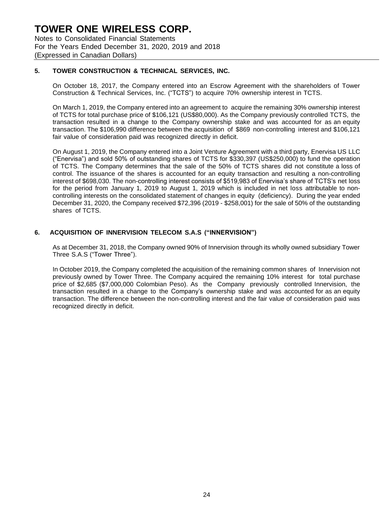# **TOWER ONE WIRELESS CORP.** Notes to Consolidated Financial Statements For the Years Ended December 31, 2020, 2019 and 2018 (Expressed in Canadian Dollars)

### **5. TOWER CONSTRUCTION & TECHNICAL SERVICES, INC.**

On October 18, 2017, the Company entered into an Escrow Agreement with the shareholders of Tower Construction & Technical Services, Inc. ("TCTS") to acquire 70% ownership interest in TCTS.

On March 1, 2019, the Company entered into an agreement to acquire the remaining 30% ownership interest of TCTS for total purchase price of \$106,121 (US\$80,000). As the Company previously controlled TCTS, the transaction resulted in a change to the Company ownership stake and was accounted for as an equity transaction. The \$106,990 difference between the acquisition of \$869 non-controlling interest and \$106,121 fair value of consideration paid was recognized directly in deficit.

On August 1, 2019, the Company entered into a Joint Venture Agreement with a third party, Enervisa US LLC ("Enervisa") and sold 50% of outstanding shares of TCTS for \$330,397 (US\$250,000) to fund the operation of TCTS. The Company determines that the sale of the 50% of TCTS shares did not constitute a loss of control. The issuance of the shares is accounted for an equity transaction and resulting a non-controlling interest of \$698,030. The non-controlling interest consists of \$519,983 of Enervisa's share of TCTS's net loss for the period from January 1, 2019 to August 1, 2019 which is included in net loss attributable to noncontrolling interests on the consolidated statement of changes in equity (deficiency). During the year ended December 31, 2020, the Company received \$72,396 (2019 - \$258,001) for the sale of 50% of the outstanding shares of TCTS.

### **6. ACQUISITION OF INNERVISION TELECOM S.A.S ("INNERVISION")**

As at December 31, 2018, the Company owned 90% of Innervision through its wholly owned subsidiary Tower Three S.A.S ("Tower Three").

In October 2019, the Company completed the acquisition of the remaining common shares of Innervision not previously owned by Tower Three. The Company acquired the remaining 10% interest for total purchase price of \$2,685 (\$7,000,000 Colombian Peso). As the Company previously controlled Innervision, the transaction resulted in a change to the Company's ownership stake and was accounted for as an equity transaction. The difference between the non-controlling interest and the fair value of consideration paid was recognized directly in deficit.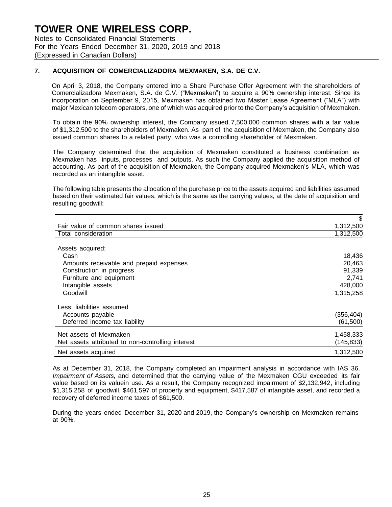Notes to Consolidated Financial Statements For the Years Ended December 31, 2020, 2019 and 2018 (Expressed in Canadian Dollars)

### **7. ACQUISITION OF COMERCIALIZADORA MEXMAKEN, S.A. DE C.V.**

On April 3, 2018, the Company entered into a Share Purchase Offer Agreement with the shareholders of Comercializadora Mexmaken, S.A. de C.V. ("Mexmaken") to acquire a 90% ownership interest. Since its incorporation on September 9, 2015, Mexmaken has obtained two Master Lease Agreement ("MLA") with major Mexican telecom operators, one of which was acquired prior to the Company's acquisition of Mexmaken.

To obtain the 90% ownership interest, the Company issued 7,500,000 common shares with a fair value of \$1,312,500 to the shareholders of Mexmaken. As part of the acquisition of Mexmaken, the Company also issued common shares to a related party, who was a controlling shareholder of Mexmaken.

The Company determined that the acquisition of Mexmaken constituted a business combination as Mexmaken has inputs, processes and outputs. As such the Company applied the acquisition method of accounting. As part of the acquisition of Mexmaken, the Company acquired Mexmaken's MLA, which was recorded as an intangible asset.

The following table presents the allocation of the purchase price to the assets acquired and liabilities assumed based on their estimated fair values, which is the same as the carrying values, at the date of acquisition and resulting goodwill:

|                                                   | \$         |
|---------------------------------------------------|------------|
| Fair value of common shares issued                | 1,312,500  |
| Total consideration                               | 1,312,500  |
|                                                   |            |
| Assets acquired:                                  |            |
| Cash                                              | 18,436     |
| Amounts receivable and prepaid expenses           | 20,463     |
| Construction in progress                          | 91,339     |
| Furniture and equipment                           | 2,741      |
| Intangible assets                                 | 428,000    |
| Goodwill                                          | 1,315,258  |
| Less: liabilities assumed                         |            |
| Accounts payable                                  | (356, 404) |
| Deferred income tax liability                     | (61, 500)  |
| Net assets of Mexmaken                            | 1,458,333  |
| Net assets attributed to non-controlling interest | (145,833)  |
| Net assets acquired                               | 1,312,500  |

As at December 31, 2018, the Company completed an impairment analysis in accordance with IAS 36, *Impairment of Assets,* and determined that the carrying value of the Mexmaken CGU exceeded its fair value based on its valuein use. As a result, the Company recognized impairment of \$2,132,942, including \$1,315,258 of goodwill, \$461,597 of property and equipment, \$417,587 of intangible asset, and recorded a recovery of deferred income taxes of \$61,500.

During the years ended December 31, 2020 and 2019, the Company's ownership on Mexmaken remains at 90%.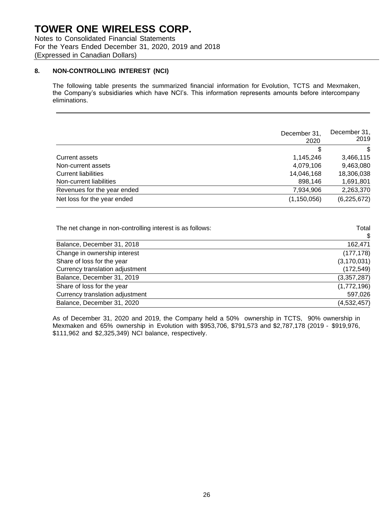Notes to Consolidated Financial Statements For the Years Ended December 31, 2020, 2019 and 2018 (Expressed in Canadian Dollars)

## **8. NON-CONTROLLING INTEREST (NCI)**

The following table presents the summarized financial information for Evolution, TCTS and Mexmaken, the Company's subsidiaries which have NCI's. This information represents amounts before intercompany eliminations.

|                             | December 31,<br>2020 | December 31,<br>2019 |
|-----------------------------|----------------------|----------------------|
|                             | S                    | S                    |
| Current assets              | 1,145,246            | 3,466,115            |
| Non-current assets          | 4,079,106            | 9,463,080            |
| <b>Current liabilities</b>  | 14,046,168           | 18,306,038           |
| Non-current liabilities     | 898,146              | 1,691,801            |
| Revenues for the year ended | 7,934,906            | 2,263,370            |
| Net loss for the year ended | (1, 150, 056)        | (6, 225, 672)        |

The net change in non-controlling interest is as follows: The net change in non-controlling interest is as follows:

| Balance, December 31, 2018      | 162,471       |
|---------------------------------|---------------|
| Change in ownership interest    | (177, 178)    |
| Share of loss for the year      | (3, 170, 031) |
| Currency translation adjustment | (172, 549)    |
| Balance, December 31, 2019      | (3,357,287)   |
| Share of loss for the year      | (1,772,196)   |
| Currency translation adjustment | 597,026       |
| Balance, December 31, 2020      | (4,532,457)   |

As of December 31, 2020 and 2019, the Company held a 50% ownership in TCTS, 90% ownership in Mexmaken and 65% ownership in Evolution with \$953,706, \$791,573 and \$2,787,178 (2019 - \$919,976, \$111,962 and \$2,325,349) NCI balance, respectively.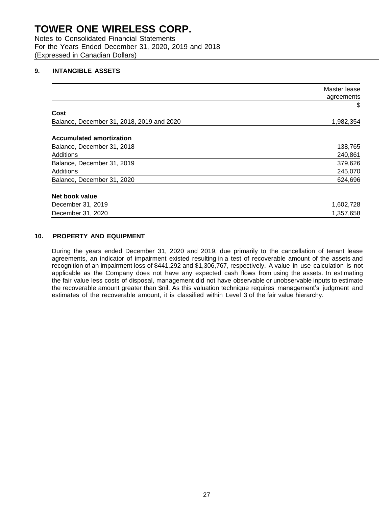Notes to Consolidated Financial Statements For the Years Ended December 31, 2020, 2019 and 2018 (Expressed in Canadian Dollars)

## **9. INTANGIBLE ASSETS**

|                                           | Master lease<br>agreements |
|-------------------------------------------|----------------------------|
|                                           | \$                         |
| Cost                                      |                            |
| Balance, December 31, 2018, 2019 and 2020 | 1,982,354                  |
|                                           |                            |
| <b>Accumulated amortization</b>           |                            |
| Balance, December 31, 2018                | 138,765                    |
| Additions                                 | 240,861                    |
| Balance, December 31, 2019                | 379,626                    |
| Additions                                 | 245,070                    |
| Balance, December 31, 2020                | 624,696                    |
| Net book value                            |                            |
| December 31, 2019                         | 1,602,728                  |
| December 31, 2020                         | 1,357,658                  |

# **10. PROPERTY AND EQUIPMENT**

During the years ended December 31, 2020 and 2019, due primarily to the cancellation of tenant lease agreements, an indicator of impairment existed resulting in a test of recoverable amount of the assets and recognition of an impairment loss of \$441,292 and \$1,306,767, respectively. A value in use calculation is not applicable as the Company does not have any expected cash flows from using the assets. In estimating the fair value less costs of disposal, management did not have observable or unobservable inputs to estimate the recoverable amount greater than \$nil. As this valuation technique requires management's judgment and estimates of the recoverable amount, it is classified within Level 3 of the fair value hierarchy.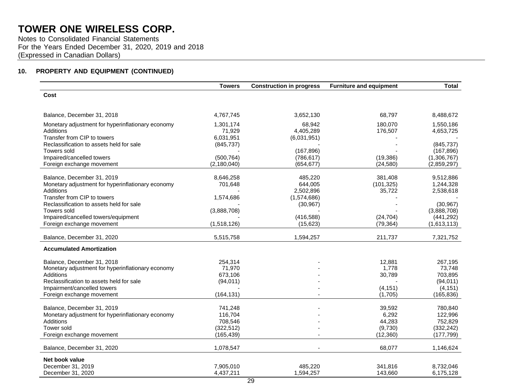Notes to Consolidated Financial Statements For the Years Ended December 31, 2020, 2019 and 2018 (Expressed in Canadian Dollars)

# **10. PROPERTY AND EQUIPMENT (CONTINUED)**

|                                                   | <b>Towers</b> | <b>Construction in progress</b> | <b>Furniture and equipment</b> | <b>Total</b> |
|---------------------------------------------------|---------------|---------------------------------|--------------------------------|--------------|
| Cost                                              |               |                                 |                                |              |
| Balance, December 31, 2018                        | 4,767,745     | 3,652,130                       | 68,797                         | 8,488,672    |
| Monetary adjustment for hyperinflationary economy | 1.301.174     | 68.942                          | 180.070                        | 1,550,186    |
| Additions                                         | 71,929        | 4,405,289                       | 176,507                        | 4,653,725    |
| Transfer from CIP to towers                       | 6,031,951     | (6,031,951)                     |                                |              |
| Reclassification to assets held for sale          | (845, 737)    |                                 |                                | (845, 737)   |
| <b>Towers sold</b>                                |               | (167, 896)                      |                                | (167, 896)   |
| Impaired/cancelled towers                         | (500, 764)    | (786, 617)                      | (19, 386)                      | (1,306,767)  |
| Foreign exchange movement                         | (2, 180, 040) | (654, 677)                      | (24, 580)                      | (2,859,297)  |
| Balance, December 31, 2019                        | 8,646,258     | 485,220                         | 381,408                        | 9,512,886    |
| Monetary adjustment for hyperinflationary economy | 701,648       | 644,005                         | (101, 325)                     | 1,244,328    |
| <b>Additions</b>                                  |               | 2,502,896                       | 35,722                         | 2,538,618    |
| Transfer from CIP to towers                       | 1,574,686     | (1,574,686)                     |                                |              |
| Reclassification to assets held for sale          |               | (30, 967)                       |                                | (30, 967)    |
| <b>Towers sold</b>                                | (3,888,708)   |                                 |                                | (3,888,708)  |
| Impaired/cancelled towers/equipment               |               | (416,588)                       | (24, 704)                      | (441, 292)   |
| Foreign exchange movement                         | (1,518,126)   | (15, 623)                       | (79, 364)                      | (1,613,113)  |
| Balance, December 31, 2020                        | 5,515,758     | 1,594,257                       | 211,737                        | 7,321,752    |
| <b>Accumulated Amortization</b>                   |               |                                 |                                |              |
| Balance, December 31, 2018                        | 254,314       |                                 | 12,881                         | 267,195      |
| Monetary adjustment for hyperinflationary economy | 71,970        |                                 | 1,778                          | 73,748       |
| Additions                                         | 673,106       |                                 | 30,789                         | 703,895      |
| Reclassification to assets held for sale          | (94, 011)     |                                 |                                | (94, 011)    |
| Impairment/cancelled towers                       |               |                                 | (4, 151)                       | (4, 151)     |
| Foreign exchange movement                         | (164, 131)    |                                 | (1,705)                        | (165, 836)   |
| Balance, December 31, 2019                        | 741,248       |                                 | 39,592                         | 780,840      |
| Monetary adjustment for hyperinflationary economy | 116,704       |                                 | 6,292                          | 122,996      |
| Additions                                         | 708,546       |                                 | 44,283                         | 752,829      |
| Tower sold                                        | (322, 512)    |                                 | (9,730)                        | (332, 242)   |
| Foreign exchange movement                         | (165, 439)    |                                 | (12, 360)                      | (177, 799)   |
| Balance, December 31, 2020                        | 1,078,547     |                                 | 68,077                         | 1,146,624    |
| Net book value                                    |               |                                 |                                |              |
| December 31, 2019                                 | 7,905,010     | 485,220                         | 341,816                        | 8,732,046    |
| December 31, 2020                                 | 4,437,211     | 1.594.257                       | 143.660                        | 6,175,128    |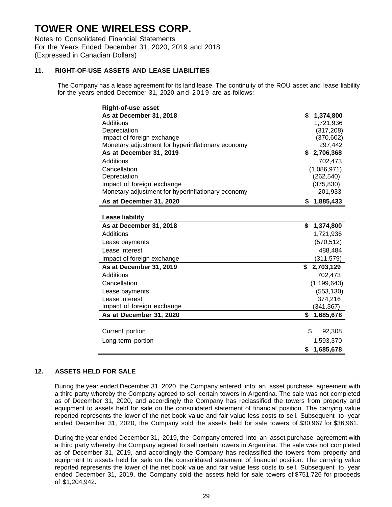Notes to Consolidated Financial Statements For the Years Ended December 31, 2020, 2019 and 2018 (Expressed in Canadian Dollars)

## **11. RIGHT-OF-USE ASSETS AND LEASE LIABILITIES**

The Company has a lease agreement for its land lease. The continuity of the ROU asset and lease liability for the years ended December 31, 2020 and 2019 are as follows:

| <b>Right-of-use asset</b>                         |                 |
|---------------------------------------------------|-----------------|
| As at December 31, 2018                           | \$<br>1,374,800 |
| Additions                                         | 1,721,936       |
| Depreciation                                      | (317, 208)      |
| Impact of foreign exchange                        | (370, 602)      |
| Monetary adjustment for hyperinflationary economy | 297,442         |
| As at December 31, 2019                           | \$2,706,368     |
| Additions                                         | 702,473         |
| Cancellation                                      | (1,086,971)     |
| Depreciation                                      | (262, 540)      |
| Impact of foreign exchange                        | (375, 830)      |
| Monetary adjustment for hyperinflationary economy | 201,933         |
| As at December 31, 2020                           | \$<br>1,885,433 |
|                                                   |                 |
| <b>Lease liability</b>                            |                 |
| As at December 31, 2018                           | \$<br>1,374,800 |
| Additions                                         | 1,721,936       |
| Lease payments                                    | (570, 512)      |
| Lease interest                                    | 488,484         |
| Impact of foreign exchange                        | (311, 579)      |
| As at December 31, 2019                           | \$<br>2,703,129 |
| Additions                                         | 702,473         |
| Cancellation                                      | (1, 199, 643)   |
| Lease payments                                    | (553, 130)      |
| Lease interest                                    | 374,216         |
| Impact of foreign exchange                        | (341, 367)      |
| As at December 31, 2020                           | \$<br>1,685,678 |
|                                                   |                 |
| Current portion                                   | \$<br>92,308    |
| Long-term portion                                 | 1,593,370       |
|                                                   | 1,685,678<br>\$ |

## **12. ASSETS HELD FOR SALE**

During the year ended December 31, 2020, the Company entered into an asset purchase agreement with a third party whereby the Company agreed to sell certain towers in Argentina. The sale was not completed as of December 31, 2020, and accordingly the Company has reclassified the towers from property and equipment to assets held for sale on the consolidated statement of financial position. The carrying value reported represents the lower of the net book value and fair value less costs to sell. Subsequent to year ended December 31, 2020, the Company sold the assets held for sale towers of \$30,967 for \$36,961.

During the year ended December 31, 2019, the Company entered into an asset purchase agreement with a third party whereby the Company agreed to sell certain towers in Argentina. The sale was not completed as of December 31, 2019, and accordingly the Company has reclassified the towers from property and equipment to assets held for sale on the consolidated statement of financial position. The carrying value reported represents the lower of the net book value and fair value less costs to sell. Subsequent to year ended December 31, 2019, the Company sold the assets held for sale towers of \$751,726 for proceeds of \$1,204,942.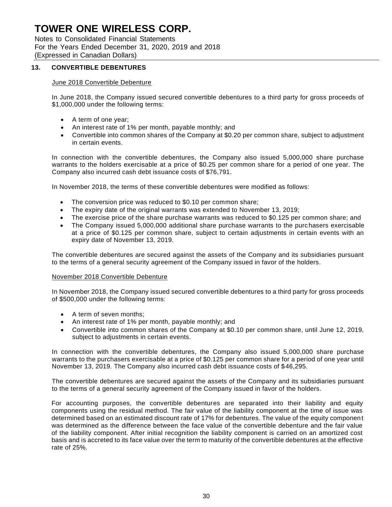Notes to Consolidated Financial Statements For the Years Ended December 31, 2020, 2019 and 2018 (Expressed in Canadian Dollars)

### **13. CONVERTIBLE DEBENTURES**

### June 2018 Convertible Debenture

In June 2018, the Company issued secured convertible debentures to a third party for gross proceeds of \$1,000,000 under the following terms:

- A term of one year;
- An interest rate of 1% per month, payable monthly; and
- Convertible into common shares of the Company at \$0.20 per common share, subject to adjustment in certain events.

In connection with the convertible debentures, the Company also issued 5,000,000 share purchase warrants to the holders exercisable at a price of \$0.25 per common share for a period of one year. The Company also incurred cash debt issuance costs of \$76,791.

In November 2018, the terms of these convertible debentures were modified as follows:

- The conversion price was reduced to \$0.10 per common share;
- The expiry date of the original warrants was extended to November 13, 2019;
- The exercise price of the share purchase warrants was reduced to \$0.125 per common share; and
- The Company issued 5,000,000 additional share purchase warrants to the purchasers exercisable at a price of \$0.125 per common share, subject to certain adjustments in certain events with an expiry date of November 13, 2019.

The convertible debentures are secured against the assets of the Company and its subsidiaries pursuant to the terms of a general security agreement of the Company issued in favor of the holders.

### November 2018 Convertible Debenture

In November 2018, the Company issued secured convertible debentures to a third party for gross proceeds of \$500,000 under the following terms:

- A term of seven months;
- An interest rate of 1% per month, payable monthly; and
- Convertible into common shares of the Company at \$0.10 per common share, until June 12, 2019, subject to adjustments in certain events.

In connection with the convertible debentures, the Company also issued 5,000,000 share purchase warrants to the purchasers exercisable at a price of \$0.125 per common share for a period of one year until November 13, 2019. The Company also incurred cash debt issuance costs of \$46,295.

The convertible debentures are secured against the assets of the Company and its subsidiaries pursuant to the terms of a general security agreement of the Company issued in favor of the holders.

For accounting purposes, the convertible debentures are separated into their liability and equity components using the residual method. The fair value of the liability component at the time of issue was determined based on an estimated discount rate of 17% for debentures. The value of the equity component was determined as the difference between the face value of the convertible debenture and the fair value of the liability component. After initial recognition the liability component is carried on an amortized cost basis and is accreted to its face value over the term to maturity of the convertible debentures at the effective rate of 25%.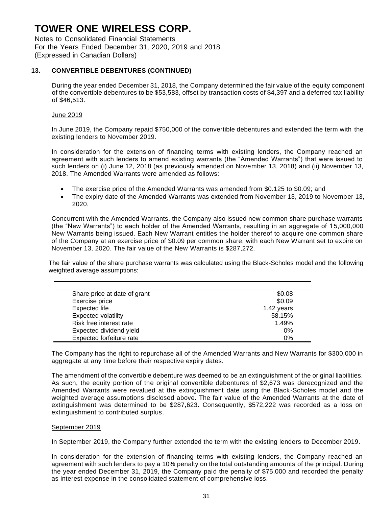Notes to Consolidated Financial Statements For the Years Ended December 31, 2020, 2019 and 2018 (Expressed in Canadian Dollars)

## **13. CONVERTIBLE DEBENTURES (CONTINUED)**

During the year ended December 31, 2018, the Company determined the fair value of the equity component of the convertible debentures to be \$53,583, offset by transaction costs of \$4,397 and a deferred tax liability of \$46,513.

### June 2019

In June 2019, the Company repaid \$750,000 of the convertible debentures and extended the term with the existing lenders to November 2019.

In consideration for the extension of financing terms with existing lenders, the Company reached an agreement with such lenders to amend existing warrants (the "Amended Warrants") that were issued to such lenders on (i) June 12, 2018 (as previously amended on November 13, 2018) and (ii) November 13, 2018. The Amended Warrants were amended as follows:

- The exercise price of the Amended Warrants was amended from \$0.125 to \$0.09; and
- The expiry date of the Amended Warrants was extended from November 13, 2019 to November 13, 2020.

Concurrent with the Amended Warrants, the Company also issued new common share purchase warrants (the "New Warrants") to each holder of the Amended Warrants, resulting in an aggregate of 1 5,000,000 New Warrants being issued. Each New Warrant entitles the holder thereof to acquire one common share of the Company at an exercise price of \$0.09 per common share, with each New Warrant set to expire on November 13, 2020. The fair value of the New Warrants is \$287,272.

The fair value of the share purchase warrants was calculated using the Black-Scholes model and the following weighted average assumptions:

| Share price at date of grant | \$0.08     |
|------------------------------|------------|
| Exercise price               | \$0.09     |
| <b>Expected life</b>         | 1.42 years |
| <b>Expected volatility</b>   | 58.15%     |
| Risk free interest rate      | 1.49%      |
| Expected dividend yield      | 0%         |
| Expected forfeiture rate     | 0%         |

The Company has the right to repurchase all of the Amended Warrants and New Warrants for \$300,000 in aggregate at any time before their respective expiry dates.

The amendment of the convertible debenture was deemed to be an extinguishment of the original liabilities. As such, the equity portion of the original convertible debentures of \$2,673 was derecognized and the Amended Warrants were revalued at the extinguishment date using the Black-Scholes model and the weighted average assumptions disclosed above. The fair value of the Amended Warrants at the date of extinguishment was determined to be \$287,623. Consequently, \$572,222 was recorded as a loss on extinguishment to contributed surplus.

### September 2019

In September 2019, the Company further extended the term with the existing lenders to December 2019.

In consideration for the extension of financing terms with existing lenders, the Company reached an agreement with such lenders to pay a 10% penalty on the total outstanding amounts of the principal. During the year ended December 31, 2019, the Company paid the penalty of \$75,000 and recorded the penalty as interest expense in the consolidated statement of comprehensive loss.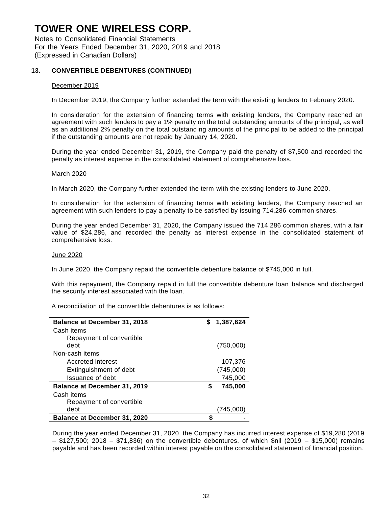Notes to Consolidated Financial Statements For the Years Ended December 31, 2020, 2019 and 2018 (Expressed in Canadian Dollars)

## **13. CONVERTIBLE DEBENTURES (CONTINUED)**

### December 2019

In December 2019, the Company further extended the term with the existing lenders to February 2020.

In consideration for the extension of financing terms with existing lenders, the Company reached an agreement with such lenders to pay a 1% penalty on the total outstanding amounts of the principal, as well as an additional 2% penalty on the total outstanding amounts of the principal to be added to the principal if the outstanding amounts are not repaid by January 14, 2020.

During the year ended December 31, 2019, the Company paid the penalty of \$7,500 and recorded the penalty as interest expense in the consolidated statement of comprehensive loss.

### March 2020

In March 2020, the Company further extended the term with the existing lenders to June 2020.

In consideration for the extension of financing terms with existing lenders, the Company reached an agreement with such lenders to pay a penalty to be satisfied by issuing 714,286 common shares.

During the year ended December 31, 2020, the Company issued the 714,286 common shares, with a fair value of \$24,286, and recorded the penalty as interest expense in the consolidated statement of comprehensive loss.

### June 2020

In June 2020, the Company repaid the convertible debenture balance of \$745,000 in full.

With this repayment, the Company repaid in full the convertible debenture loan balance and discharged the security interest associated with the loan.

A reconciliation of the convertible debentures is as follows:

| <b>Balance at December 31, 2018</b> | S | 1,387,624 |
|-------------------------------------|---|-----------|
| Cash items                          |   |           |
| Repayment of convertible            |   |           |
| debt                                |   | (750,000) |
| Non-cash items                      |   |           |
| Accreted interest                   |   | 107,376   |
| Extinguishment of debt              |   | (745,000) |
| Issuance of debt                    |   | 745,000   |
| <b>Balance at December 31, 2019</b> | S | 745,000   |
| Cash items                          |   |           |
| Repayment of convertible            |   |           |
| debt                                |   | (745.000  |
| <b>Balance at December 31, 2020</b> |   |           |

During the year ended December 31, 2020, the Company has incurred interest expense of \$19,280 (2019 – \$127,500; 2018 – \$71,836) on the convertible debentures, of which \$nil (2019 – \$15,000) remains payable and has been recorded within interest payable on the consolidated statement of financial position.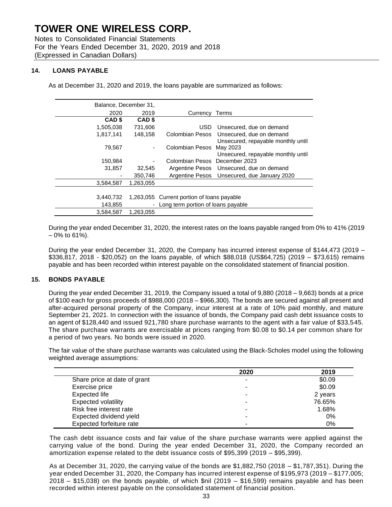Notes to Consolidated Financial Statements For the Years Ended December 31, 2020, 2019 and 2018 (Expressed in Canadian Dollars)

## **14. LOANS PAYABLE**

As at December 31, 2020 and 2019, the loans payable are summarized as follows:

| Balance, December 31, |                   |                                            |                                             |
|-----------------------|-------------------|--------------------------------------------|---------------------------------------------|
| 2020                  | 2019              | Currency                                   | Terms                                       |
| CAD <sub>\$</sub>     | CAD <sub>\$</sub> |                                            |                                             |
| 1,505,038             | 731,606           | USD.                                       | Unsecured, due on demand                    |
| 1.817.141             | 148.158           | Colombian Pesos                            | Unsecured, due on demand                    |
|                       |                   |                                            | Unsecured, repayable monthly until          |
| 79,567                |                   | Colombian Pesos                            | May 2023                                    |
|                       |                   |                                            | Unsecured, repayable monthly until          |
| 150,984               |                   | Colombian Pesos December 2023              |                                             |
| 31,857                | 32,545            |                                            | Argentine Pesos Unsecured, due on demand    |
|                       | 350,746           |                                            | Argentine Pesos Unsecured, due January 2020 |
| 3,584,587             | 1.263.055         |                                            |                                             |
|                       |                   |                                            |                                             |
| 3,440,732             |                   | 1,263,055 Current portion of loans payable |                                             |
| 143,855               |                   | Long term portion of loans payable         |                                             |
| 3,584,587             | 1,263,055         |                                            |                                             |

During the year ended December 31, 2020, the interest rates on the loans payable ranged from 0% to 41% (2019 – 0% to 61%).

During the year ended December 31, 2020, the Company has incurred interest expense of \$144,473 (2019 – \$336,817, 2018 - \$20,052) on the loans payable, of which \$88,018 (US\$64,725) (2019 – \$73,615) remains payable and has been recorded within interest payable on the consolidated statement of financial position.

## **15. BONDS PAYABLE**

During the year ended December 31, 2019, the Company issued a total of 9,880 (2018 – 9,663) bonds at a price of \$100 each for gross proceeds of \$988,000 (2018 – \$966,300). The bonds are secured against all present and after-acquired personal property of the Company, incur interest at a rate of 10% paid monthly, and mature September 21, 2021. In connection with the issuance of bonds, the Company paid cash debt issuance costs to an agent of \$128,440 and issued 921,780 share purchase warrants to the agent with a fair value of \$33,545. The share purchase warrants are exercisable at prices ranging from \$0.08 to \$0.14 per common share for a period of two years. No bonds were issued in 2020.

The fair value of the share purchase warrants was calculated using the Black-Scholes model using the following weighted average assumptions:

|                              | 2020 | 2019    |
|------------------------------|------|---------|
| Share price at date of grant |      | \$0.09  |
| Exercise price               |      | \$0.09  |
| Expected life                |      | 2 years |
| <b>Expected volatility</b>   |      | 76.65%  |
| Risk free interest rate      | -    | 1.68%   |
| Expected dividend yield      |      | 0%      |
| Expected forfeiture rate     |      | 0%      |

The cash debt issuance costs and fair value of the share purchase warrants were applied against the carrying value of the bond. During the year ended December 31, 2020, the Company recorded an amortization expense related to the debt issuance costs of \$95,399 (2019 – \$95,399).

As at December 31, 2020, the carrying value of the bonds are \$1,882,750 (2018 – \$1,787,351). During the year ended December 31, 2020, the Company has incurred interest expense of \$195,973 (2019 – \$177,005;  $2018 - $15,038$ ) on the bonds payable, of which  $$ni(2019 - $16,599)$  remains payable and has been recorded within interest payable on the consolidated statement of financial position.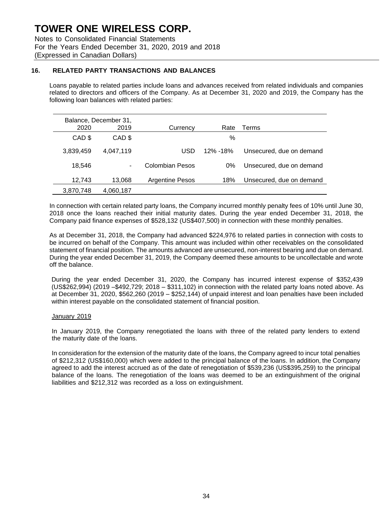Notes to Consolidated Financial Statements For the Years Ended December 31, 2020, 2019 and 2018 (Expressed in Canadian Dollars)

# **16. RELATED PARTY TRANSACTIONS AND BALANCES**

Loans payable to related parties include loans and advances received from related individuals and companies related to directors and officers of the Company. As at December 31, 2020 and 2019, the Company has the following loan balances with related parties:

| 2020      | Balance, December 31,<br>2019 | Currency               | Rate     | Terms                    |
|-----------|-------------------------------|------------------------|----------|--------------------------|
| CAD \$    | CAD \$                        |                        | %        |                          |
| 3,839,459 | 4.047.119                     | USD                    | 12% -18% | Unsecured, due on demand |
| 18.546    | ۰                             | Colombian Pesos        | $0\%$    | Unsecured, due on demand |
| 12,743    | 13,068                        | <b>Argentine Pesos</b> | 18%      | Unsecured, due on demand |
| 3,870,748 | 4,060,187                     |                        |          |                          |

In connection with certain related party loans, the Company incurred monthly penalty fees of 10% until June 30, 2018 once the loans reached their initial maturity dates. During the year ended December 31, 2018, the Company paid finance expenses of \$528,132 (US\$407,500) in connection with these monthly penalties.

As at December 31, 2018, the Company had advanced \$224,976 to related parties in connection with costs to be incurred on behalf of the Company. This amount was included within other receivables on the consolidated statement of financial position. The amounts advanced are unsecured, non-interest bearing and due on demand. During the year ended December 31, 2019, the Company deemed these amounts to be uncollectable and wrote off the balance.

During the year ended December 31, 2020, the Company has incurred interest expense of \$352,439 (US\$262,994) (2019 –\$492,729; 2018 – \$311,102) in connection with the related party loans noted above. As at December 31, 2020, \$562,260 (2019 – \$252,144) of unpaid interest and loan penalties have been included within interest payable on the consolidated statement of financial position.

### January 2019

In January 2019, the Company renegotiated the loans with three of the related party lenders to extend the maturity date of the loans.

In consideration for the extension of the maturity date of the loans, the Company agreed to incur total penalties of \$212,312 (US\$160,000) which were added to the principal balance of the loans. In addition, the Company agreed to add the interest accrued as of the date of renegotiation of \$539,236 (US\$395,259) to the principal balance of the loans. The renegotiation of the loans was deemed to be an extinguishment of the original liabilities and \$212,312 was recorded as a loss on extinguishment.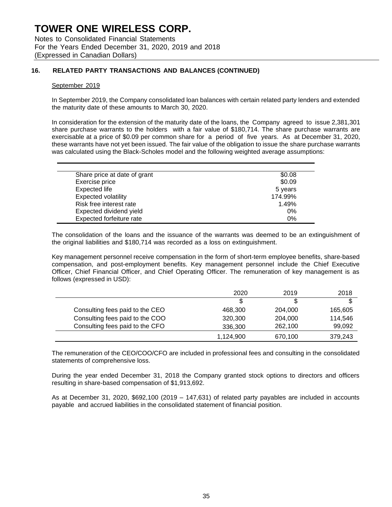Notes to Consolidated Financial Statements For the Years Ended December 31, 2020, 2019 and 2018 (Expressed in Canadian Dollars)

## **16. RELATED PARTY TRANSACTIONS AND BALANCES (CONTINUED)**

### September 2019

In September 2019, the Company consolidated loan balances with certain related party lenders and extended the maturity date of these amounts to March 30, 2020.

In consideration for the extension of the maturity date of the loans, the Company agreed to issue 2,381,301 share purchase warrants to the holders with a fair value of \$180,714. The share purchase warrants are exercisable at a price of \$0.09 per common share for a period of five years. As at December 31, 2020, these warrants have not yet been issued. The fair value of the obligation to issue the share purchase warrants was calculated using the Black-Scholes model and the following weighted average assumptions:

| Share price at date of grant | \$0.08  |
|------------------------------|---------|
|                              |         |
| Exercise price               | \$0.09  |
| Expected life                | 5 years |
| <b>Expected volatility</b>   | 174.99% |
| Risk free interest rate      | 1.49%   |
| Expected dividend yield      | 0%      |
| Expected forfeiture rate     | 0%      |

The consolidation of the loans and the issuance of the warrants was deemed to be an extinguishment of the original liabilities and \$180,714 was recorded as a loss on extinguishment.

Key management personnel receive compensation in the form of short-term employee benefits, share-based compensation, and post-employment benefits. Key management personnel include the Chief Executive Officer, Chief Financial Officer, and Chief Operating Officer. The remuneration of key management is as follows (expressed in USD):

|                                 | 2020      | 2019    | 2018    |
|---------------------------------|-----------|---------|---------|
|                                 |           |         |         |
| Consulting fees paid to the CEO | 468,300   | 204.000 | 165,605 |
| Consulting fees paid to the COO | 320,300   | 204,000 | 114,546 |
| Consulting fees paid to the CFO | 336,300   | 262,100 | 99,092  |
|                                 | 1,124,900 | 670,100 | 379,243 |

The remuneration of the CEO/COO/CFO are included in professional fees and consulting in the consolidated statements of comprehensive loss.

During the year ended December 31, 2018 the Company granted stock options to directors and officers resulting in share-based compensation of \$1,913,692.

As at December 31, 2020, \$692,100 (2019 – 147,631) of related party payables are included in accounts payable and accrued liabilities in the consolidated statement of financial position.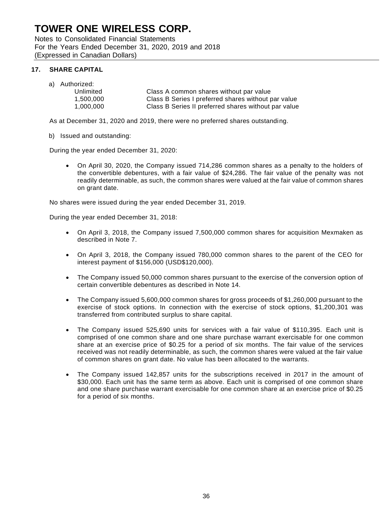Notes to Consolidated Financial Statements For the Years Ended December 31, 2020, 2019 and 2018 (Expressed in Canadian Dollars)

## **17. SHARE CAPITAL**

a) Authorized:

| Unlimited | Class A common shares without par value              |
|-----------|------------------------------------------------------|
| 1.500.000 | Class B Series I preferred shares without par value  |
| 1.000.000 | Class B Series II preferred shares without par value |

As at December 31, 2020 and 2019, there were no preferred shares outstanding.

### b) Issued and outstanding:

During the year ended December 31, 2020:

• On April 30, 2020, the Company issued 714,286 common shares as a penalty to the holders of the convertible debentures, with a fair value of \$24,286. The fair value of the penalty was not readily determinable, as such, the common shares were valued at the fair value of common shares on grant date.

No shares were issued during the year ended December 31, 2019.

During the year ended December 31, 2018:

- On April 3, 2018, the Company issued 7,500,000 common shares for acquisition Mexmaken as described in Note 7.
- On April 3, 2018, the Company issued 780,000 common shares to the parent of the CEO for interest payment of \$156,000 (USD\$120,000).
- The Company issued 50,000 common shares pursuant to the exercise of the conversion option of certain convertible debentures as described in Note 14.
- The Company issued 5,600,000 common shares for gross proceeds of \$1,260,000 pursuant to the exercise of stock options. In connection with the exercise of stock options, \$1,200,301 was transferred from contributed surplus to share capital.
- The Company issued 525,690 units for services with a fair value of \$110,395. Each unit is comprised of one common share and one share purchase warrant exercisable for one common share at an exercise price of \$0.25 for a period of six months. The fair value of the services received was not readily determinable, as such, the common shares were valued at the fair value of common shares on grant date. No value has been allocated to the warrants.
- The Company issued 142,857 units for the subscriptions received in 2017 in the amount of \$30,000. Each unit has the same term as above. Each unit is comprised of one common share and one share purchase warrant exercisable for one common share at an exercise price of \$0.25 for a period of six months.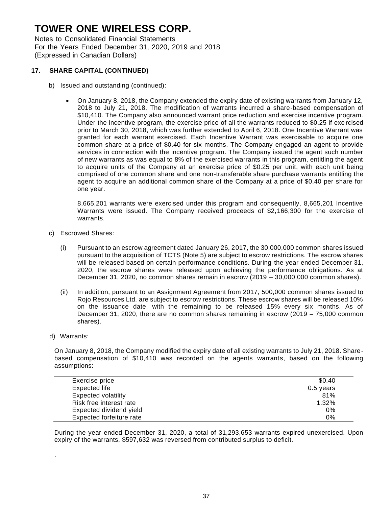Notes to Consolidated Financial Statements For the Years Ended December 31, 2020, 2019 and 2018 (Expressed in Canadian Dollars)

## **17. SHARE CAPITAL (CONTINUED)**

- b) Issued and outstanding (continued):
	- On January 8, 2018, the Company extended the expiry date of existing warrants from January 12, 2018 to July 21, 2018. The modification of warrants incurred a share-based compensation of \$10,410. The Company also announced warrant price reduction and exercise incentive program. Under the incentive program, the exercise price of all the warrants reduced to \$0.25 if exe rcised prior to March 30, 2018, which was further extended to April 6, 2018. One Incentive Warrant was granted for each warrant exercised. Each Incentive Warrant was exercisable to acquire one common share at a price of \$0.40 for six months. The Company engaged an agent to provide services in connection with the incentive program. The Company issued the agent such number of new warrants as was equal to 8% of the exercised warrants in this program, entitling the agent to acquire units of the Company at an exercise price of \$0.25 per unit, with each unit being comprised of one common share and one non-transferable share purchase warrants entitling the agent to acquire an additional common share of the Company at a price of \$0.40 per share for one year.

8,665,201 warrants were exercised under this program and consequently, 8,665,201 Incentive Warrants were issued. The Company received proceeds of \$2,166,300 for the exercise of warrants.

- c) Escrowed Shares:
	- (i) Pursuant to an escrow agreement dated January 26, 2017, the 30,000,000 common shares issued pursuant to the acquisition of TCTS (Note 5) are subject to escrow restrictions. The escrow shares will be released based on certain performance conditions. During the year ended December 31, 2020, the escrow shares were released upon achieving the performance obligations. As at December 31, 2020, no common shares remain in escrow (2019 – 30,000,000 common shares).
	- (ii) In addition, pursuant to an Assignment Agreement from 2017, 500,000 common shares issued to Rojo Resources Ltd. are subject to escrow restrictions. These escrow shares will be released 10% on the issuance date, with the remaining to be released 15% every six months. As of December 31, 2020, there are no common shares remaining in escrow (2019 – 75,000 common shares).
- d) Warrants:

.

On January 8, 2018, the Company modified the expiry date of all existing warrants to July 21, 2018. Sharebased compensation of \$10,410 was recorded on the agents warrants, based on the following assumptions:

| Exercise price             | \$0.40    |
|----------------------------|-----------|
| Expected life              | 0.5 years |
| <b>Expected volatility</b> | 81%       |
| Risk free interest rate    | 1.32%     |
| Expected dividend yield    | 0%        |
| Expected forfeiture rate   | 0%        |

During the year ended December 31, 2020, a total of 31,293,653 warrants expired unexercised. Upon expiry of the warrants, \$597,632 was reversed from contributed surplus to deficit.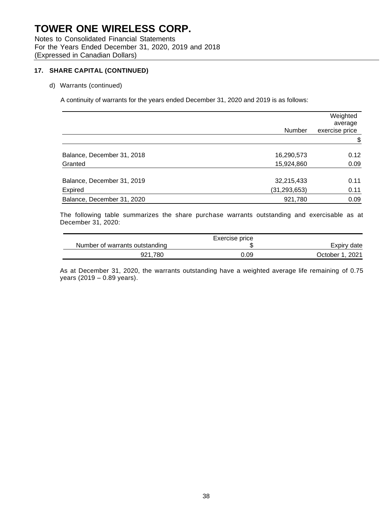Notes to Consolidated Financial Statements For the Years Ended December 31, 2020, 2019 and 2018 (Expressed in Canadian Dollars)

# **17. SHARE CAPITAL (CONTINUED)**

d) Warrants (continued)

A continuity of warrants for the years ended December 31, 2020 and 2019 is as follows:

|                            | Number         | Weighted<br>average<br>exercise price |
|----------------------------|----------------|---------------------------------------|
|                            |                | \$                                    |
| Balance, December 31, 2018 | 16,290,573     | 0.12                                  |
| Granted                    | 15,924,860     | 0.09                                  |
| Balance, December 31, 2019 | 32,215,433     | 0.11                                  |
| Expired                    | (31, 293, 653) | 0.11                                  |
| Balance, December 31, 2020 | 921,780        | 0.09                                  |

The following table summarizes the share purchase warrants outstanding and exercisable as at December 31, 2020:

|                                | Exercise price |                 |
|--------------------------------|----------------|-----------------|
| Number of warrants outstanding |                | Expiry date     |
| 921.780                        | 0.09           | October 1. 2021 |

As at December 31, 2020, the warrants outstanding have a weighted average life remaining of 0.75 years (2019 – 0.89 years).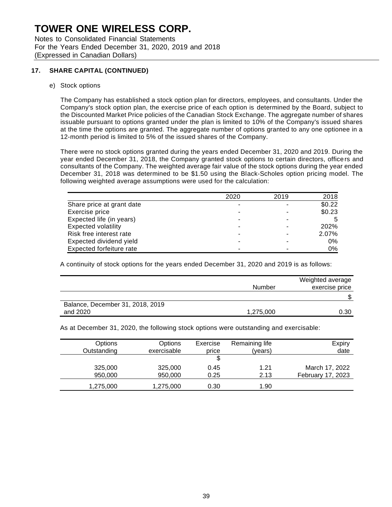Notes to Consolidated Financial Statements For the Years Ended December 31, 2020, 2019 and 2018 (Expressed in Canadian Dollars)

## **17. SHARE CAPITAL (CONTINUED)**

e) Stock options

The Company has established a stock option plan for directors, employees, and consultants. Under the Company's stock option plan, the exercise price of each option is determined by the Board, subject to the Discounted Market Price policies of the Canadian Stock Exchange. The aggregate number of shares issuable pursuant to options granted under the plan is limited to 10% of the Company's issued shares at the time the options are granted. The aggregate number of options granted to any one optionee in a 12-month period is limited to 5% of the issued shares of the Company.

There were no stock options granted during the years ended December 31, 2020 and 2019. During the year ended December 31, 2018, the Company granted stock options to certain directors, officers and consultants of the Company. The weighted average fair value of the stock options during the year ended December 31, 2018 was determined to be \$1.50 using the Black-Scholes option pricing model. The following weighted average assumptions were used for the calculation:

|                                 | 2020 | 2019 | 2018   |
|---------------------------------|------|------|--------|
| Share price at grant date       |      |      | \$0.22 |
| Exercise price                  |      |      | \$0.23 |
| Expected life (in years)        |      | -    | 5      |
| <b>Expected volatility</b>      |      |      | 202%   |
| Risk free interest rate         |      | -    | 2.07%  |
| Expected dividend yield         |      |      | 0%     |
| <b>Expected forfeiture rate</b> |      |      | 0%     |

A continuity of stock options for the years ended December 31, 2020 and 2019 is as follows:

|                                  |           | Weighted average |
|----------------------------------|-----------|------------------|
|                                  | Number    | exercise price   |
|                                  |           |                  |
| Balance, December 31, 2018, 2019 |           |                  |
| and 2020                         | 1,275,000 | 0.30             |

As at December 31, 2020, the following stock options were outstanding and exercisable:

| Options<br>Outstanding | Options<br>exercisable | Exercise<br>price | Remaining life<br>(years) | Expiry<br>date    |
|------------------------|------------------------|-------------------|---------------------------|-------------------|
|                        |                        | \$                |                           |                   |
| 325,000                | 325,000                | 0.45              | 1.21                      | March 17, 2022    |
| 950,000                | 950,000                | 0.25              | 2.13                      | February 17, 2023 |
| 1,275,000              | 1,275,000              | 0.30              | 1.90                      |                   |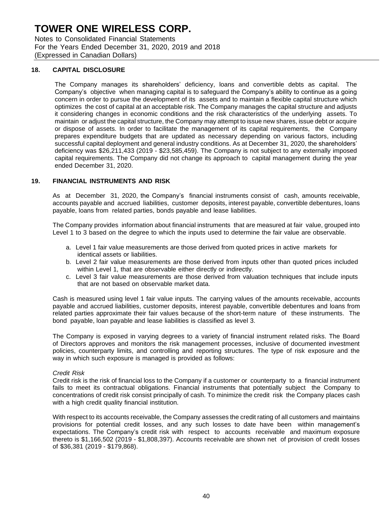Notes to Consolidated Financial Statements For the Years Ended December 31, 2020, 2019 and 2018 (Expressed in Canadian Dollars)

### **18. CAPITAL DISCLOSURE**

The Company manages its shareholders' deficiency, loans and convertible debts as capital. The Company's objective when managing capital is to safeguard the Company's ability to continue as a going concern in order to pursue the development of its assets and to maintain a flexible capital structure which optimizes the cost of capital at an acceptable risk. The Company manages the capital structure and adjusts it considering changes in economic conditions and the risk characteristics of the underlying assets. To maintain or adjust the capital structure, the Company may attempt to issue new shares, issue debt or acquire or dispose of assets. In order to facilitate the management of its capital requirements, the Company prepares expenditure budgets that are updated as necessary depending on various factors, including successful capital deployment and general industry conditions. As at December 31, 2020, the shareholders' deficiency was \$26,211,433 (2019 - \$23,585,459). The Company is not subject to any externally imposed capital requirements. The Company did not change its approach to capital management during the year ended December 31, 2020.

### **19. FINANCIAL INSTRUMENTS AND RISK**

As at December 31, 2020, the Company's financial instruments consist of cash, amounts receivable, accounts payable and accrued liabilities, customer deposits, interest payable, convertible debentures, loans payable, loans from related parties, bonds payable and lease liabilities.

The Company provides information about financial instruments that are measured at fair value, grouped into Level 1 to 3 based on the degree to which the inputs used to determine the fair value are observable.

- a. Level 1 fair value measurements are those derived from quoted prices in active markets for identical assets or liabilities.
- b. Level 2 fair value measurements are those derived from inputs other than quoted prices included within Level 1, that are observable either directly or indirectly.
- c. Level 3 fair value measurements are those derived from valuation techniques that include inputs that are not based on observable market data.

Cash is measured using level 1 fair value inputs. The carrying values of the amounts receivable, accounts payable and accrued liabilities, customer deposits, interest payable, convertible debentures and loans from related parties approximate their fair values because of the short-term nature of these instruments. The bond payable, loan payable and lease liabilities is classified as level 3.

The Company is exposed in varying degrees to a variety of financial instrument related risks. The Board of Directors approves and monitors the risk management processes, inclusive of documented investment policies, counterparty limits, and controlling and reporting structures. The type of risk exposure and the way in which such exposure is managed is provided as follows:

### *Credit Risk*

Credit risk is the risk of financial loss to the Company if a customer or counterparty to a financial instrument fails to meet its contractual obligations. Financial instruments that potentially subject the Company to concentrations of credit risk consist principally of cash. To minimize the credit risk the Company places cash with a high credit quality financial institution.

With respect to its accounts receivable, the Company assesses the credit rating of all customers and maintains provisions for potential credit losses, and any such losses to date have been within management's expectations. The Company's credit risk with respect to accounts receivable and maximum exposure thereto is \$1,166,502 (2019 - \$1,808,397). Accounts receivable are shown net of provision of credit losses of \$36,381 (2019 - \$179,868).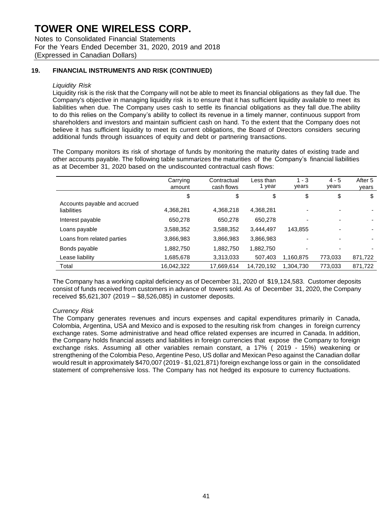Notes to Consolidated Financial Statements For the Years Ended December 31, 2020, 2019 and 2018 (Expressed in Canadian Dollars)

## **19. FINANCIAL INSTRUMENTS AND RISK (CONTINUED)**

### *Liquidity Risk*

Liquidity risk is the risk that the Company will not be able to meet its financial obligations as they fall due. The Company's objective in managing liquidity risk is to ensure that it has sufficient liquidity available to meet its liabilities when due. The Company uses cash to settle its financial obligations as they fall due.The ability to do this relies on the Company's ability to collect its revenue in a timely manner, continuous support from shareholders and investors and maintain sufficient cash on hand. To the extent that the Company does not believe it has sufficient liquidity to meet its current obligations, the Board of Directors considers securing additional funds through issuances of equity and debt or partnering transactions.

The Company monitors its risk of shortage of funds by monitoring the maturity dates of existing trade and other accounts payable. The following table summarizes the maturities of the Company's financial liabilities as at December 31, 2020 based on the undiscounted contractual cash flows:

|                                             | Carrying<br>amount | Contractual<br>cash flows | Less than<br>1 year | $1 - 3$<br>years | $4 - 5$<br>years         | After 5<br>vears |
|---------------------------------------------|--------------------|---------------------------|---------------------|------------------|--------------------------|------------------|
|                                             | \$                 | \$                        | \$                  | \$               | \$                       | \$               |
| Accounts payable and accrued<br>liabilities | 4,368,281          | 4,368,218                 | 4,368,281           |                  |                          |                  |
| Interest payable                            | 650,278            | 650,278                   | 650.278             |                  | $\overline{\phantom{a}}$ |                  |
|                                             |                    |                           |                     |                  |                          |                  |
| Loans payable                               | 3,588,352          | 3,588,352                 | 3,444,497           | 143,855          | $\blacksquare$           |                  |
| Loans from related parties                  | 3,866,983          | 3,866,983                 | 3,866,983           |                  |                          |                  |
| Bonds payable                               | 1,882,750          | 1,882,750                 | 1,882,750           | ٠                |                          |                  |
| Lease liability                             | 1,685,678          | 3,313,033                 | 507,403             | 1,160,875        | 773,033                  | 871,722          |
| Total                                       | 16,042,322         | 17,669,614                | 14,720,192          | 1,304,730        | 773,033                  | 871,722          |

The Company has a working capital deficiency as of December 31, 2020 of \$19,124,583. Customer deposits consist of funds received from customers in advance of towers sold. As of December 31, 2020, the Company received \$5,621,307 (2019 – \$8,526,085) in customer deposits.

### *Currency Risk*

The Company generates revenues and incurs expenses and capital expenditures primarily in Canada, Colombia, Argentina, USA and Mexico and is exposed to the resulting risk from changes in foreign currency exchange rates. Some administrative and head office related expenses are incurred in Canada. In addition, the Company holds financial assets and liabilities in foreign currencies that expose the Company to foreign exchange risks. Assuming all other variables remain constant, a 17% ( 2019 - 15%) weakening or strengthening of the Colombia Peso, Argentine Peso, US dollar and Mexican Peso against the Canadian dollar would result in approximately \$470,007 (2019 - \$1,021,871) foreign exchange loss or gain in the consolidated statement of comprehensive loss. The Company has not hedged its exposure to currency fluctuations.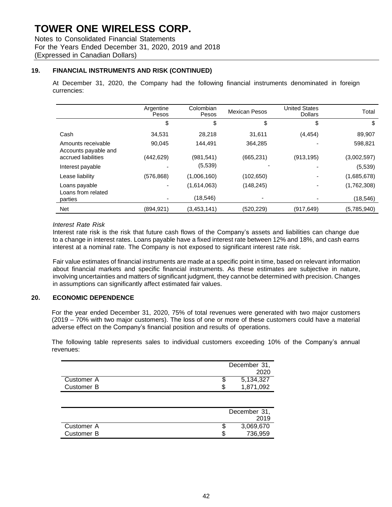Notes to Consolidated Financial Statements For the Years Ended December 31, 2020, 2019 and 2018 (Expressed in Canadian Dollars)

## **19. FINANCIAL INSTRUMENTS AND RISK (CONTINUED)**

At December 31, 2020, the Company had the following financial instruments denominated in foreign currencies:

|                                            | Argentine<br>Pesos | Colombian<br>Pesos | <b>Mexican Pesos</b> | <b>United States</b><br><b>Dollars</b> | Total       |
|--------------------------------------------|--------------------|--------------------|----------------------|----------------------------------------|-------------|
|                                            | \$                 | \$                 | \$                   | \$                                     | \$          |
| Cash                                       | 34,531             | 28,218             | 31,611               | (4, 454)                               | 89,907      |
| Amounts receivable<br>Accounts payable and | 90,045             | 144.491            | 364,285              |                                        | 598,821     |
| accrued liabilities                        | (442,629)          | (981, 541)         | (665, 231)           | (913, 195)                             | (3,002,597) |
| Interest payable                           |                    | (5,539)            |                      |                                        | (5,539)     |
| Lease liability                            | (576, 868)         | (1,006,160)        | (102, 650)           |                                        | (1,685,678) |
| Loans payable                              |                    | (1,614,063)        | (148, 245)           |                                        | (1,762,308) |
| Loans from related<br>parties              |                    | (18, 546)          |                      |                                        | (18, 546)   |
| <b>Net</b>                                 | (894,921)          | (3,453,141)        | (520,229)            | (917, 649)                             | (5,785,940) |

### *Interest Rate Risk*

Interest rate risk is the risk that future cash flows of the Company's assets and liabilities can change due to a change in interest rates. Loans payable have a fixed interest rate between 12% and 18%, and cash earns interest at a nominal rate. The Company is not exposed to significant interest rate risk.

Fair value estimates of financial instruments are made at a specific point in time, based on relevant information about financial markets and specific financial instruments. As these estimates are subjective in nature, involving uncertainties and matters of significant judgment, they cannot be determined with precision. Changes in assumptions can significantly affect estimated fair values.

### **20. ECONOMIC DEPENDENCE**

For the year ended December 31, 2020, 75% of total revenues were generated with two major customers (2019 – 70% with two major customers). The loss of one or more of these customers could have a material adverse effect on the Company's financial position and results of operations.

The following table represents sales to individual customers exceeding 10% of the Company's annual revenues:

|            |    | December 31, |  |  |
|------------|----|--------------|--|--|
|            |    | 2020         |  |  |
| Customer A | ۹E | 5,134,327    |  |  |
| Customer B | ъD | 1,871,092    |  |  |

|            | December 31, |  |  |
|------------|--------------|--|--|
|            | 2019         |  |  |
| Customer A | 3,069,670    |  |  |
| Customer B | 736,959      |  |  |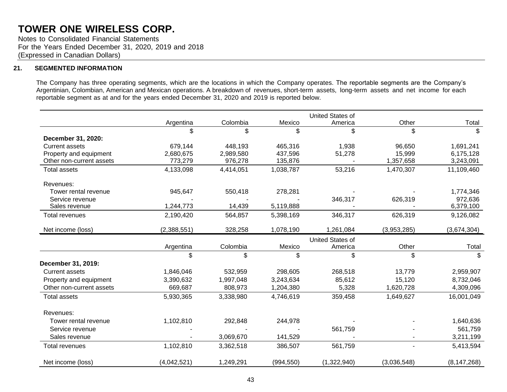Notes to Consolidated Financial Statements For the Years Ended December 31, 2020, 2019 and 2018 (Expressed in Canadian Dollars)

# **21. SEGMENTED INFORMATION**

The Company has three operating segments, which are the locations in which the Company operates. The reportable segments are the Company's Argentinian, Colombian, American and Mexican operations. A breakdown of revenues, short-term assets, long-term assets and net income for each reportable segment as at and for the years ended December 31, 2020 and 2019 is reported below.

|                          |             |           |            | United States of        |             |               |
|--------------------------|-------------|-----------|------------|-------------------------|-------------|---------------|
|                          | Argentina   | Colombia  | Mexico     | America                 | Other       | Total         |
|                          | \$          | \$        | \$         | \$                      | \$          | \$            |
| December 31, 2020:       |             |           |            |                         |             |               |
| <b>Current assets</b>    | 679,144     | 448,193   | 465,316    | 1,938                   | 96,650      | 1,691,241     |
| Property and equipment   | 2,680,675   | 2,989,580 | 437,596    | 51,278                  | 15,999      | 6,175,128     |
| Other non-current assets | 773,279     | 976,278   | 135,876    |                         | 1,357,658   | 3,243,091     |
| <b>Total assets</b>      | 4,133,098   | 4,414,051 | 1,038,787  | 53,216                  | 1,470,307   | 11,109,460    |
| Revenues:                |             |           |            |                         |             |               |
| Tower rental revenue     | 945,647     | 550,418   | 278,281    |                         |             | 1,774,346     |
| Service revenue          |             |           |            | 346,317                 | 626,319     | 972,636       |
| Sales revenue            | 1,244,773   | 14,439    | 5,119,888  |                         |             | 6,379,100     |
| Total revenues           | 2,190,420   | 564,857   | 5,398,169  | 346,317                 | 626,319     | 9,126,082     |
| Net income (loss)        | (2,388,551) | 328,258   | 1,078,190  | 1,261,084               | (3,953,285) | (3,674,304)   |
|                          |             |           |            | <b>United States of</b> |             |               |
|                          | Argentina   | Colombia  | Mexico     | America                 | Other       | Total         |
|                          | \$          | \$        | \$         | \$                      | \$          | \$            |
| December 31, 2019:       |             |           |            |                         |             |               |
| <b>Current assets</b>    | 1,846,046   | 532,959   | 298,605    | 268,518                 | 13,779      | 2,959,907     |
| Property and equipment   | 3,390,632   | 1,997,048 | 3,243,634  | 85,612                  | 15,120      | 8,732,046     |
| Other non-current assets | 669,687     | 808,973   | 1,204,380  | 5,328                   | 1,620,728   | 4,309,096     |
| <b>Total assets</b>      | 5,930,365   | 3,338,980 | 4,746,619  | 359,458                 | 1,649,627   | 16,001,049    |
| Revenues:                |             |           |            |                         |             |               |
| Tower rental revenue     | 1,102,810   | 292,848   | 244,978    |                         |             | 1,640,636     |
| Service revenue          |             |           |            | 561,759                 |             | 561,759       |
| Sales revenue            |             | 3,069,670 | 141,529    |                         |             | 3,211,199     |
| <b>Total revenues</b>    | 1,102,810   | 3,362,518 | 386,507    | 561,759                 |             | 5,413,594     |
| Net income (loss)        | (4,042,521) | 1,249,291 | (994, 550) | (1,322,940)             | (3,036,548) | (8, 147, 268) |
|                          |             |           |            |                         |             |               |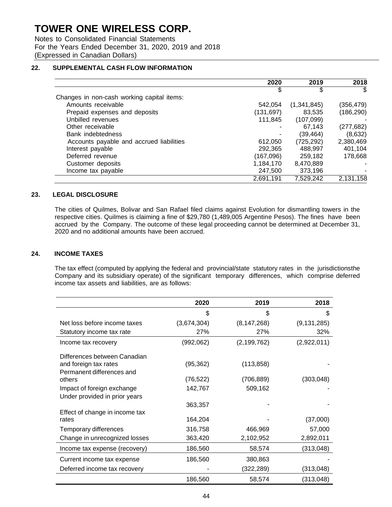Notes to Consolidated Financial Statements For the Years Ended December 31, 2020, 2019 and 2018 (Expressed in Canadian Dollars)

# **22. SUPPLEMENTAL CASH FLOW INFORMATION**

|                                            | 2020       | 2019        | 2018       |
|--------------------------------------------|------------|-------------|------------|
|                                            | \$         | \$          | \$         |
| Changes in non-cash working capital items: |            |             |            |
| Amounts receivable                         | 542,054    | (1,341,845) | (356,479)  |
| Prepaid expenses and deposits              | (131, 697) | 83.535      | (186, 290) |
| Unbilled revenues                          | 111,845    | (107,099)   |            |
| Other receivable                           |            | 67,143      | (277, 682) |
| Bank indebtedness                          |            | (39, 464)   | (8,632)    |
| Accounts payable and accrued liabilities   | 612.050    | (725, 292)  | 2,380,469  |
| Interest payable                           | 292.365    | 488.997     | 401,104    |
| Deferred revenue                           | (167,096)  | 259.182     | 178.668    |
| Customer deposits                          | 1,184,170  | 8,470,889   |            |
| Income tax payable                         | 247,500    | 373,196     |            |
|                                            | 2.691.191  | 7,529,242   | 2,131,158  |

### **23. LEGAL DISCLOSURE**

The cities of Quilmes, Bolivar and San Rafael filed claims against Evolution for dismantling towers in the respective cities. Quilmes is claiming a fine of \$29,780 (1,489,005 Argentine Pesos). The fines have been accrued by the Company. The outcome of these legal proceeding cannot be determined at December 31, 2020 and no additional amounts have been accrued.

## **24. INCOME TAXES**

The tax effect (computed by applying the federal and provincial/state statutory rates in the jurisdictionsthe Company and its subsidiary operate) of the significant temporary differences, which comprise deferred income tax assets and liabilities, are as follows:

|                                | 2020        | 2019          | 2018          |
|--------------------------------|-------------|---------------|---------------|
|                                | \$          | \$            | \$            |
| Net loss before income taxes   | (3,674,304) | (8, 147, 268) | (9, 131, 285) |
| Statutory income tax rate      | <b>27%</b>  | 27%           | 32%           |
| Income tax recovery            | (992,062)   | (2, 199, 762) | (2,922,011)   |
| Differences between Canadian   |             |               |               |
| and foreign tax rates          | (95, 362)   | (113, 858)    |               |
| Permanent differences and      |             |               |               |
| others                         | (76, 522)   | (706, 889)    | (303, 048)    |
| Impact of foreign exchange     | 142,767     | 509,162       |               |
| Under provided in prior years  |             |               |               |
|                                | 363,357     |               |               |
| Effect of change in income tax |             |               |               |
| rates                          | 164,204     |               | (37,000)      |
| Temporary differences          | 316,758     | 466,969       | 57,000        |
| Change in unrecognized losses  | 363,420     | 2,102,952     | 2,892,011     |
| Income tax expense (recovery)  | 186,560     | 58,574        | (313,048)     |
| Current income tax expense     | 186,560     | 380,863       |               |
| Deferred income tax recovery   |             | (322,289)     | (313, 048)    |
|                                | 186,560     | 58,574        | (313, 048)    |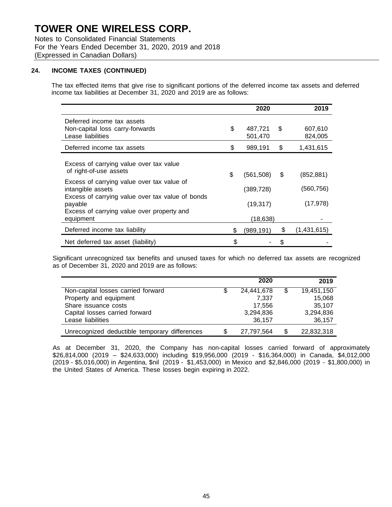Notes to Consolidated Financial Statements For the Years Ended December 31, 2020, 2019 and 2018 (Expressed in Canadian Dollars)

## **24. INCOME TAXES (CONTINUED)**

The tax effected items that give rise to significant portions of the deferred income tax assets and deferred income tax liabilities at December 31, 2020 and 2019 are as follows:

|                                                                                                                                      |     | 2020                    |    | 2019                     |
|--------------------------------------------------------------------------------------------------------------------------------------|-----|-------------------------|----|--------------------------|
| Deferred income tax assets<br>Non-capital loss carry-forwards<br>Lease liabilities                                                   | \$  | 487,721<br>501,470      | S  | 607,610<br>824,005       |
| Deferred income tax assets                                                                                                           | \$  | 989,191                 | \$ | 1,431,615                |
| Excess of carrying value over tax value<br>of right-of-use assets<br>Excess of carrying value over tax value of<br>intangible assets | \$  | (561, 508)<br>(389,728) | \$ | (852, 881)<br>(560, 756) |
| Excess of carrying value over tax value of bonds<br>payable<br>Excess of carrying value over property and<br>equipment               |     | (19, 317)<br>(18, 638)  |    | (17, 978)                |
| Deferred income tax liability                                                                                                        | \$. | (989, 191)              | \$ | (1,431,615)              |
| Net deferred tax asset (liability)                                                                                                   | \$  |                         |    |                          |

Significant unrecognized tax benefits and unused taxes for which no deferred tax assets are recognized as of December 31, 2020 and 2019 are as follows:

|                                               |    | 2020       |   | 2019       |
|-----------------------------------------------|----|------------|---|------------|
| Non-capital losses carried forward            | \$ | 24,441,678 | S | 19,451,150 |
| Property and equipment                        |    | 7.337      |   | 15,068     |
| Share issuance costs                          |    | 17.556     |   | 35,107     |
| Capital losses carried forward                |    | 3,294,836  |   | 3,294,836  |
| Lease liabilities                             |    | 36,157     |   | 36,157     |
| Unrecognized deductible temporary differences | S  | 27,797,564 | S | 22,832,318 |

As at December 31, 2020, the Company has non-capital losses carried forward of approximately \$26,814,000 (2019 – \$24,633,000) including \$19,956,000 (2019 - \$16,364,000) in Canada, \$4,012,000 (2019 - \$5,016,000) in Argentina, \$nil (2019 - \$1,453,000) in Mexico and \$2,846,000 (2019 - \$1,800,000) in the United States of America. These losses begin expiring in 2022.